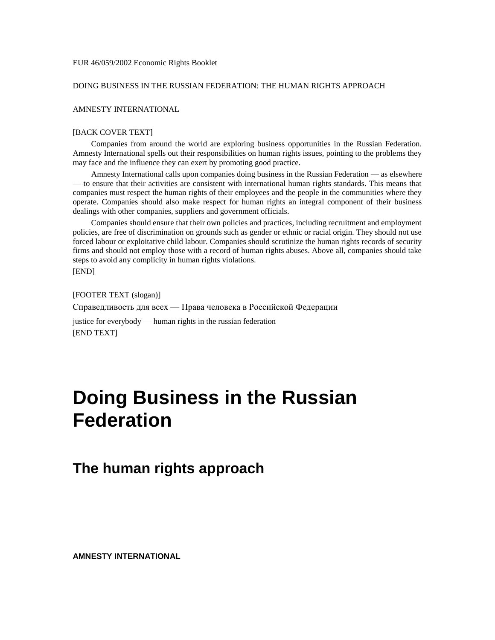#### EUR 46/059/2002 Economic Rights Booklet

#### DOING BUSINESS IN THE RUSSIAN FEDERATION: THE HUMAN RIGHTS APPROACH

#### AMNESTY INTERNATIONAL

#### [BACK COVER TEXT]

Companies from around the world are exploring business opportunities in the Russian Federation. Amnesty International spells out their responsibilities on human rights issues, pointing to the problems they may face and the influence they can exert by promoting good practice.

Amnesty International calls upon companies doing business in the Russian Federation — as elsewhere — to ensure that their activities are consistent with international human rights standards. This means that companies must respect the human rights of their employees and the people in the communities where they operate. Companies should also make respect for human rights an integral component of their business dealings with other companies, suppliers and government officials.

Companies should ensure that their own policies and practices, including recruitment and employment policies, are free of discrimination on grounds such as gender or ethnic or racial origin. They should not use forced labour or exploitative child labour. Companies should scrutinize the human rights records of security firms and should not employ those with a record of human rights abuses. Above all, companies should take steps to avoid any complicity in human rights violations.

[END]

#### [FOOTER TEXT (slogan)]

Справедливость для всех — Права человека в Российской Федерации

justice for everybody — human rights in the russian federation [END TEXT]

# **Doing Business in the Russian Federation**

**The human rights approach**

**AMNESTY INTERNATIONAL**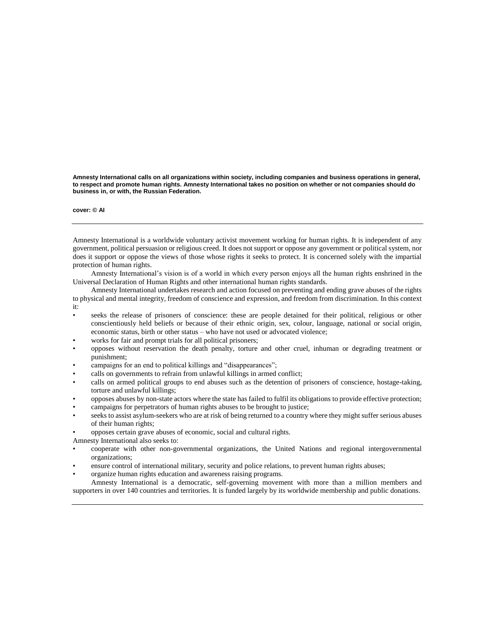**Amnesty International calls on all organizations within society, including companies and business operations in general, to respect and promote human rights. Amnesty International takes no position on whether or not companies should do business in, or with, the Russian Federation.** 

**cover: © AI**

Amnesty International is a worldwide voluntary activist movement working for human rights. It is independent of any government, political persuasion or religious creed. It does not support or oppose any government or political system, nor does it support or oppose the views of those whose rights it seeks to protect. It is concerned solely with the impartial protection of human rights.

Amnesty International's vision is of a world in which every person enjoys all the human rights enshrined in the Universal Declaration of Human Rights and other international human rights standards.

Amnesty International undertakes research and action focused on preventing and ending grave abuses of the rights to physical and mental integrity, freedom of conscience and expression, and freedom from discrimination. In this context it:

- seeks the release of prisoners of conscience: these are people detained for their political, religious or other conscientiously held beliefs or because of their ethnic origin, sex, colour, language, national or social origin, economic status, birth or other status – who have not used or advocated violence;
- works for fair and prompt trials for all political prisoners;
- opposes without reservation the death penalty, torture and other cruel, inhuman or degrading treatment or punishment;
- campaigns for an end to political killings and "disappearances";
- calls on governments to refrain from unlawful killings in armed conflict;
- calls on armed political groups to end abuses such as the detention of prisoners of conscience, hostage-taking, torture and unlawful killings;
- opposes abuses by non-state actors where the state has failed to fulfil its obligations to provide effective protection;
- campaigns for perpetrators of human rights abuses to be brought to justice;
- seeks to assist asylum-seekers who are at risk of being returned to a country where they might suffer serious abuses of their human rights;
- opposes certain grave abuses of economic, social and cultural rights.

Amnesty International also seeks to:

- cooperate with other non-governmental organizations, the United Nations and regional intergovernmental organizations;
- ensure control of international military, security and police relations, to prevent human rights abuses;
- organize human rights education and awareness raising programs.

Amnesty International is a democratic, self-governing movement with more than a million members and supporters in over 140 countries and territories. It is funded largely by its worldwide membership and public donations.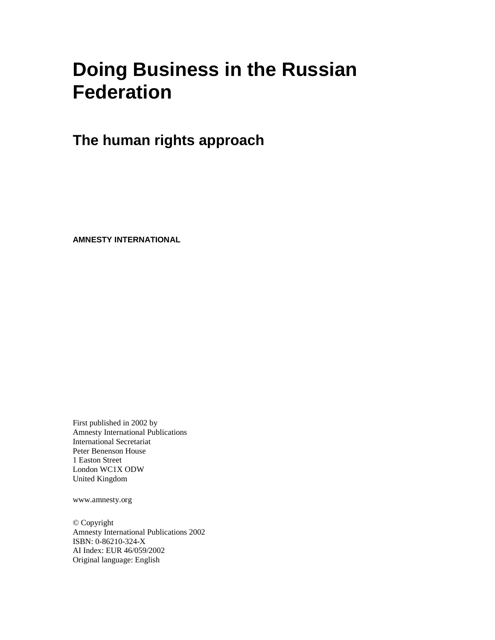# **Doing Business in the Russian Federation**

### **The human rights approach**

**AMNESTY INTERNATIONAL**

First published in 2002 by Amnesty International Publications International Secretariat Peter Benenson House 1 Easton Street London WC1X ODW United Kingdom

www.amnesty.org

© Copyright Amnesty International Publications 2002 ISBN: 0-86210-324-X AI Index: EUR 46/059/2002 Original language: English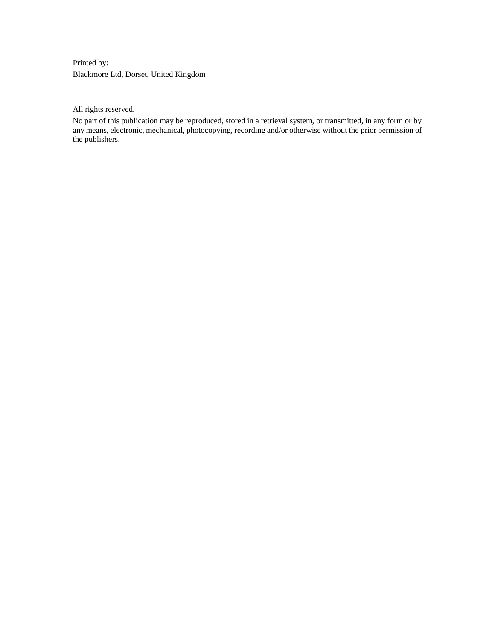Printed by: Blackmore Ltd, Dorset, United Kingdom

All rights reserved.

No part of this publication may be reproduced, stored in a retrieval system, or transmitted, in any form or by any means, electronic, mechanical, photocopying, recording and/or otherwise without the prior permission of the publishers.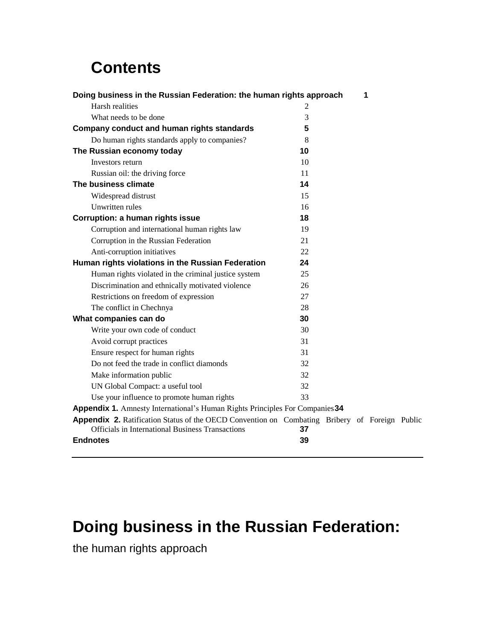## **Contents**

| Doing business in the Russian Federation: the human rights approach                           |    | 1 |  |
|-----------------------------------------------------------------------------------------------|----|---|--|
| Harsh realities                                                                               | 2  |   |  |
| What needs to be done                                                                         | 3  |   |  |
| Company conduct and human rights standards                                                    | 5  |   |  |
| Do human rights standards apply to companies?                                                 | 8  |   |  |
| The Russian economy today                                                                     | 10 |   |  |
| Investors return                                                                              | 10 |   |  |
| Russian oil: the driving force                                                                | 11 |   |  |
| The business climate                                                                          | 14 |   |  |
| Widespread distrust                                                                           | 15 |   |  |
| Unwritten rules                                                                               | 16 |   |  |
| Corruption: a human rights issue                                                              | 18 |   |  |
| Corruption and international human rights law                                                 | 19 |   |  |
| Corruption in the Russian Federation                                                          | 21 |   |  |
| Anti-corruption initiatives                                                                   | 22 |   |  |
| Human rights violations in the Russian Federation                                             | 24 |   |  |
| Human rights violated in the criminal justice system                                          | 25 |   |  |
| Discrimination and ethnically motivated violence                                              | 26 |   |  |
| Restrictions on freedom of expression                                                         | 27 |   |  |
| The conflict in Chechnya                                                                      | 28 |   |  |
| What companies can do                                                                         | 30 |   |  |
| Write your own code of conduct                                                                | 30 |   |  |
| Avoid corrupt practices                                                                       | 31 |   |  |
| Ensure respect for human rights                                                               | 31 |   |  |
| Do not feed the trade in conflict diamonds                                                    | 32 |   |  |
| Make information public                                                                       | 32 |   |  |
| UN Global Compact: a useful tool                                                              | 32 |   |  |
| Use your influence to promote human rights                                                    | 33 |   |  |
| Appendix 1. Amnesty International's Human Rights Principles For Companies 34                  |    |   |  |
| Appendix 2. Ratification Status of the OECD Convention on Combating Bribery of Foreign Public |    |   |  |
| <b>Officials in International Business Transactions</b>                                       | 37 |   |  |
| <b>Endnotes</b>                                                                               | 39 |   |  |

# **Doing business in the Russian Federation:**

the human rights approach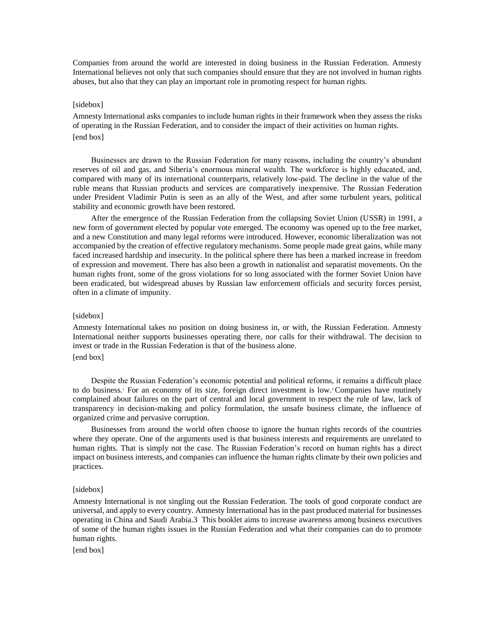Companies from around the world are interested in doing business in the Russian Federation. Amnesty International believes not only that such companies should ensure that they are not involved in human rights abuses, but also that they can play an important role in promoting respect for human rights.

#### [sidebox]

Amnesty International asks companies to include human rights in their framework when they assess the risks of operating in the Russian Federation, and to consider the impact of their activities on human rights. [end box]

Businesses are drawn to the Russian Federation for many reasons, including the country's abundant reserves of oil and gas, and Siberia's enormous mineral wealth. The workforce is highly educated, and, compared with many of its international counterparts, relatively low-paid. The decline in the value of the ruble means that Russian products and services are comparatively inexpensive. The Russian Federation under President Vladimir Putin is seen as an ally of the West, and after some turbulent years, political stability and economic growth have been restored.

After the emergence of the Russian Federation from the collapsing Soviet Union (USSR) in 1991, a new form of government elected by popular vote emerged. The economy was opened up to the free market, and a new Constitution and many legal reforms were introduced. However, economic liberalization was not accompanied by the creation of effective regulatory mechanisms. Some people made great gains, while many faced increased hardship and insecurity. In the political sphere there has been a marked increase in freedom of expression and movement. There has also been a growth in nationalist and separatist movements. On the human rights front, some of the gross violations for so long associated with the former Soviet Union have been eradicated, but widespread abuses by Russian law enforcement officials and security forces persist, often in a climate of impunity.

#### [sidebox]

Amnesty International takes no position on doing business in, or with, the Russian Federation. Amnesty International neither supports businesses operating there, nor calls for their withdrawal. The decision to invest or trade in the Russian Federation is that of the business alone.

[end box]

Despite the Russian Federation's economic potential and political reforms, it remains a difficult place to do business.<sup>1</sup> For an economy of its size, foreign direct investment is low.2 Companies have routinely complained about failures on the part of central and local government to respect the rule of law, lack of transparency in decision-making and policy formulation, the unsafe business climate, the influence of organized crime and pervasive corruption.

Businesses from around the world often choose to ignore the human rights records of the countries where they operate. One of the arguments used is that business interests and requirements are unrelated to human rights. That is simply not the case. The Russian Federation's record on human rights has a direct impact on business interests, and companies can influence the human rights climate by their own policies and practices.

#### [sidebox]

Amnesty International is not singling out the Russian Federation. The tools of good corporate conduct are universal, and apply to every country. Amnesty International has in the past produced material for businesses operating in China and Saudi Arabia.3 This booklet aims to increase awareness among business executives of some of the human rights issues in the Russian Federation and what their companies can do to promote human rights.

[end box]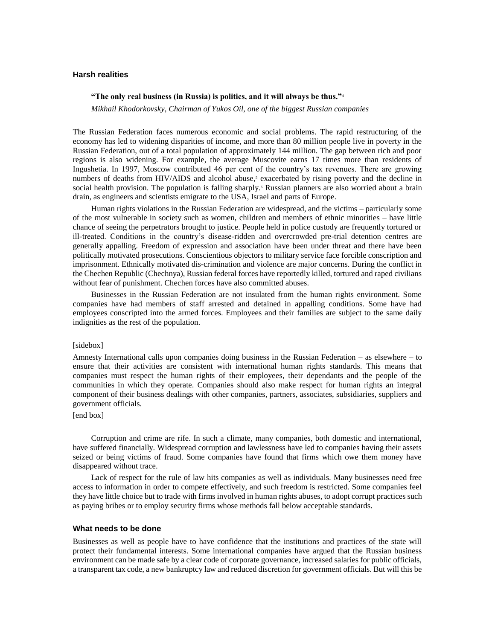#### **Harsh realities**

#### **"The only real business (in Russia) is politics, and it will always be thus."**<sup>4</sup>

*Mikhail Khodorkovsky, Chairman of Yukos Oil, one of the biggest Russian companies*

The Russian Federation faces numerous economic and social problems. The rapid restructuring of the economy has led to widening disparities of income, and more than 80 million people live in poverty in the Russian Federation, out of a total population of approximately 144 million. The gap between rich and poor regions is also widening. For example, the average Muscovite earns 17 times more than residents of Ingushetia. In 1997, Moscow contributed 46 per cent of the country's tax revenues. There are growing numbers of deaths from HIV/AIDS and alcohol abuse,<sup>5</sup> exacerbated by rising poverty and the decline in social health provision. The population is falling sharply.<sup>6</sup> Russian planners are also worried about a brain drain, as engineers and scientists emigrate to the USA, Israel and parts of Europe.

Human rights violations in the Russian Federation are widespread, and the victims – particularly some of the most vulnerable in society such as women, children and members of ethnic minorities – have little chance of seeing the perpetrators brought to justice. People held in police custody are frequently tortured or ill-treated. Conditions in the country's disease-ridden and overcrowded pre-trial detention centres are generally appalling. Freedom of expression and association have been under threat and there have been politically motivated prosecutions. Conscientious objectors to military service face forcible conscription and imprisonment. Ethnically motivated dis-crimination and violence are major concerns. During the conflict in the Chechen Republic (Chechnya), Russian federal forces have reportedly killed, tortured and raped civilians without fear of punishment. Chechen forces have also committed abuses.

Businesses in the Russian Federation are not insulated from the human rights environment. Some companies have had members of staff arrested and detained in appalling conditions. Some have had employees conscripted into the armed forces. Employees and their families are subject to the same daily indignities as the rest of the population.

#### [sidebox]

Amnesty International calls upon companies doing business in the Russian Federation – as elsewhere – to ensure that their activities are consistent with international human rights standards. This means that companies must respect the human rights of their employees, their dependants and the people of the communities in which they operate. Companies should also make respect for human rights an integral component of their business dealings with other companies, partners, associates, subsidiaries, suppliers and government officials.

[end box]

Corruption and crime are rife. In such a climate, many companies, both domestic and international, have suffered financially. Widespread corruption and lawlessness have led to companies having their assets seized or being victims of fraud. Some companies have found that firms which owe them money have disappeared without trace.

Lack of respect for the rule of law hits companies as well as individuals. Many businesses need free access to information in order to compete effectively, and such freedom is restricted. Some companies feel they have little choice but to trade with firms involved in human rights abuses, to adopt corrupt practices such as paying bribes or to employ security firms whose methods fall below acceptable standards.

#### **What needs to be done**

Businesses as well as people have to have confidence that the institutions and practices of the state will protect their fundamental interests. Some international companies have argued that the Russian business environment can be made safe by a clear code of corporate governance, increased salaries for public officials, a transparent tax code, a new bankruptcy law and reduced discretion for government officials. But will this be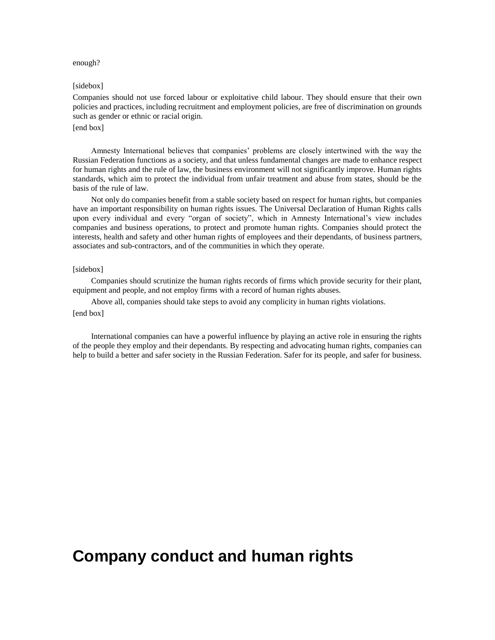#### enough?

#### [sidebox]

Companies should not use forced labour or exploitative child labour. They should ensure that their own policies and practices, including recruitment and employment policies, are free of discrimination on grounds such as gender or ethnic or racial origin.

#### [end box]

Amnesty International believes that companies' problems are closely intertwined with the way the Russian Federation functions as a society, and that unless fundamental changes are made to enhance respect for human rights and the rule of law, the business environment will not significantly improve. Human rights standards, which aim to protect the individual from unfair treatment and abuse from states, should be the basis of the rule of law.

Not only do companies benefit from a stable society based on respect for human rights, but companies have an important responsibility on human rights issues. The Universal Declaration of Human Rights calls upon every individual and every "organ of society", which in Amnesty International's view includes companies and business operations, to protect and promote human rights. Companies should protect the interests, health and safety and other human rights of employees and their dependants, of business partners, associates and sub-contractors, and of the communities in which they operate.

#### [sidebox]

Companies should scrutinize the human rights records of firms which provide security for their plant, equipment and people, and not employ firms with a record of human rights abuses.

Above all, companies should take steps to avoid any complicity in human rights violations.

#### [end box]

International companies can have a powerful influence by playing an active role in ensuring the rights of the people they employ and their dependants. By respecting and advocating human rights, companies can help to build a better and safer society in the Russian Federation. Safer for its people, and safer for business.

### **Company conduct and human rights**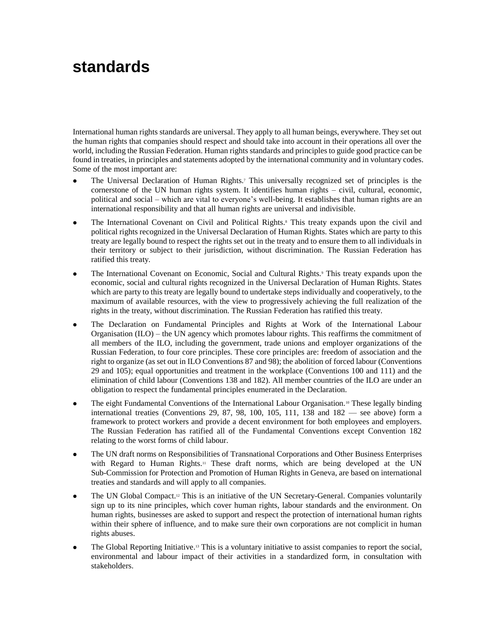## **standards**

International human rights standards are universal. They apply to all human beings, everywhere. They set out the human rights that companies should respect and should take into account in their operations all over the world, including the Russian Federation. Human rights standards and principles to guide good practice can be found in treaties, in principles and statements adopted by the international community and in voluntary codes. Some of the most important are:

- The Universal Declaration of Human Rights.<sup>7</sup> This universally recognized set of principles is the cornerstone of the UN human rights system. It identifies human rights – civil, cultural, economic, political and social – which are vital to everyone's well-being. It establishes that human rights are an international responsibility and that all human rights are universal and indivisible.
- The International Covenant on Civil and Political Rights.<sup>8</sup> This treaty expands upon the civil and political rights recognized in the Universal Declaration of Human Rights. States which are party to this treaty are legally bound to respect the rights set out in the treaty and to ensure them to all individuals in their territory or subject to their jurisdiction, without discrimination. The Russian Federation has ratified this treaty.
- The International Covenant on Economic, Social and Cultural Rights.<sup>9</sup> This treaty expands upon the economic, social and cultural rights recognized in the Universal Declaration of Human Rights. States which are party to this treaty are legally bound to undertake steps individually and cooperatively, to the maximum of available resources, with the view to progressively achieving the full realization of the rights in the treaty, without discrimination. The Russian Federation has ratified this treaty.
- The Declaration on Fundamental Principles and Rights at Work of the International Labour Organisation (ILO) – the UN agency which promotes labour rights. This reaffirms the commitment of all members of the ILO, including the government, trade unions and employer organizations of the Russian Federation, to four core principles. These core principles are: freedom of association and the right to organize (as set out in ILO Conventions 87 and 98); the abolition of forced labour (Conventions 29 and 105); equal opportunities and treatment in the workplace (Conventions 100 and 111) and the elimination of child labour (Conventions 138 and 182). All member countries of the ILO are under an obligation to respect the fundamental principles enumerated in the Declaration.
- The eight Fundamental Conventions of the International Labour Organisation.<sup>10</sup> These legally binding international treaties (Conventions 29, 87, 98, 100, 105, 111, 138 and 182 — see above) form a framework to protect workers and provide a decent environment for both employees and employers. The Russian Federation has ratified all of the Fundamental Conventions except Convention 182 relating to the worst forms of child labour.
- The UN draft norms on Responsibilities of Transnational Corporations and Other Business Enterprises with Regard to Human Rights.<sup>11</sup> These draft norms, which are being developed at the UN Sub-Commission for Protection and Promotion of Human Rights in Geneva, are based on international treaties and standards and will apply to all companies.
- The UN Global Compact.<sup>12</sup> This is an initiative of the UN Secretary-General. Companies voluntarily sign up to its nine principles, which cover human rights, labour standards and the environment. On human rights, businesses are asked to support and respect the protection of international human rights within their sphere of influence, and to make sure their own corporations are not complicit in human rights abuses.
- The Global Reporting Initiative.<sup>13</sup> This is a voluntary initiative to assist companies to report the social, environmental and labour impact of their activities in a standardized form, in consultation with stakeholders.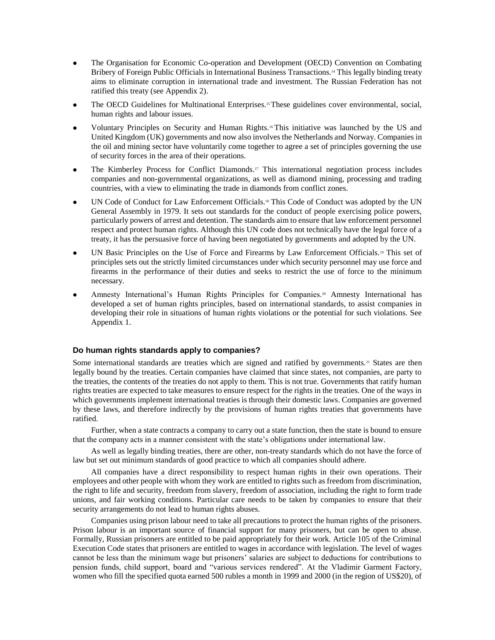- The Organisation for Economic Co-operation and Development (OECD) Convention on Combating Bribery of Foreign Public Officials in International Business Transactions.<sup>14</sup> This legally binding treaty aims to eliminate corruption in international trade and investment. The Russian Federation has not ratified this treaty (see Appendix 2).
- The OECD Guidelines for Multinational Enterprises.<sup>15</sup> These guidelines cover environmental, social, human rights and labour issues.
- Voluntary Principles on Security and Human Rights.16 This initiative was launched by the US and United Kingdom (UK) governments and now also involves the Netherlands and Norway. Companies in the oil and mining sector have voluntarily come together to agree a set of principles governing the use of security forces in the area of their operations.
- The Kimberley Process for Conflict Diamonds.<sup>17</sup> This international negotiation process includes companies and non-governmental organizations, as well as diamond mining, processing and trading countries, with a view to eliminating the trade in diamonds from conflict zones.
- UN Code of Conduct for Law Enforcement Officials.<sup>18</sup> This Code of Conduct was adopted by the UN General Assembly in 1979. It sets out standards for the conduct of people exercising police powers, particularly powers of arrest and detention. The standards aim to ensure that law enforcement personnel respect and protect human rights. Although this UN code does not technically have the legal force of a treaty, it has the persuasive force of having been negotiated by governments and adopted by the UN.
- UN Basic Principles on the Use of Force and Firearms by Law Enforcement Officials.<sup>19</sup> This set of principles sets out the strictly limited circumstances under which security personnel may use force and firearms in the performance of their duties and seeks to restrict the use of force to the minimum necessary.
- Amnesty International's Human Rights Principles for Companies.<sup>20</sup> Amnesty International has developed a set of human rights principles, based on international standards, to assist companies in developing their role in situations of human rights violations or the potential for such violations. See Appendix 1.

#### **Do human rights standards apply to companies?**

Some international standards are treaties which are signed and ratified by governments.<sup>21</sup> States are then legally bound by the treaties. Certain companies have claimed that since states, not companies, are party to the treaties, the contents of the treaties do not apply to them. This is not true. Governments that ratify human rights treaties are expected to take measures to ensure respect for the rights in the treaties. One of the ways in which governments implement international treaties is through their domestic laws. Companies are governed by these laws, and therefore indirectly by the provisions of human rights treaties that governments have ratified.

Further, when a state contracts a company to carry out a state function, then the state is bound to ensure that the company acts in a manner consistent with the state's obligations under international law.

As well as legally binding treaties, there are other, non-treaty standards which do not have the force of law but set out minimum standards of good practice to which all companies should adhere.

All companies have a direct responsibility to respect human rights in their own operations. Their employees and other people with whom they work are entitled to rights such as freedom from discrimination, the right to life and security, freedom from slavery, freedom of association, including the right to form trade unions, and fair working conditions. Particular care needs to be taken by companies to ensure that their security arrangements do not lead to human rights abuses.

Companies using prison labour need to take all precautions to protect the human rights of the prisoners. Prison labour is an important source of financial support for many prisoners, but can be open to abuse. Formally, Russian prisoners are entitled to be paid appropriately for their work. Article 105 of the Criminal Execution Code states that prisoners are entitled to wages in accordance with legislation. The level of wages cannot be less than the minimum wage but prisoners' salaries are subject to deductions for contributions to pension funds, child support, board and "various services rendered". At the Vladimir Garment Factory, women who fill the specified quota earned 500 rubles a month in 1999 and 2000 (in the region of US\$20), of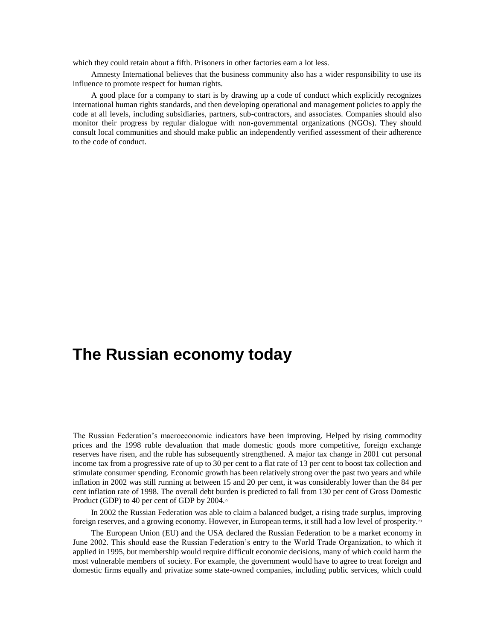which they could retain about a fifth. Prisoners in other factories earn a lot less.

Amnesty International believes that the business community also has a wider responsibility to use its influence to promote respect for human rights.

A good place for a company to start is by drawing up a code of conduct which explicitly recognizes international human rights standards, and then developing operational and management policies to apply the code at all levels, including subsidiaries, partners, sub-contractors, and associates. Companies should also monitor their progress by regular dialogue with non-governmental organizations (NGOs). They should consult local communities and should make public an independently verified assessment of their adherence to the code of conduct.

### **The Russian economy today**

The Russian Federation's macroeconomic indicators have been improving. Helped by rising commodity prices and the 1998 ruble devaluation that made domestic goods more competitive, foreign exchange reserves have risen, and the ruble has subsequently strengthened. A major tax change in 2001 cut personal income tax from a progressive rate of up to 30 per cent to a flat rate of 13 per cent to boost tax collection and stimulate consumer spending. Economic growth has been relatively strong over the past two years and while inflation in 2002 was still running at between 15 and 20 per cent, it was considerably lower than the 84 per cent inflation rate of 1998. The overall debt burden is predicted to fall from 130 per cent of Gross Domestic Product (GDP) to 40 per cent of GDP by 2004.<sup>22</sup>

In 2002 the Russian Federation was able to claim a balanced budget, a rising trade surplus, improving foreign reserves, and a growing economy. However, in European terms, it still had a low level of prosperity.<sup>23</sup>

The European Union (EU) and the USA declared the Russian Federation to be a market economy in June 2002. This should ease the Russian Federation's entry to the World Trade Organization, to which it applied in 1995, but membership would require difficult economic decisions, many of which could harm the most vulnerable members of society. For example, the government would have to agree to treat foreign and domestic firms equally and privatize some state-owned companies, including public services, which could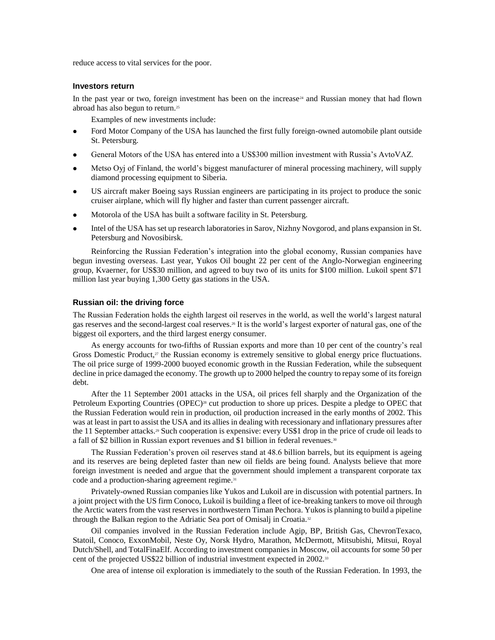reduce access to vital services for the poor.

#### **Investors return**

In the past year or two, foreign investment has been on the increase<sup> $24$ </sup> and Russian money that had flown abroad has also begun to return.<sup>25</sup>

Examples of new investments include:

- Ford Motor Company of the USA has launched the first fully foreign-owned automobile plant outside St. Petersburg.
- General Motors of the USA has entered into a US\$300 million investment with Russia's AvtoVAZ.
- Metso Oyj of Finland, the world's biggest manufacturer of mineral processing machinery, will supply diamond processing equipment to Siberia.
- US aircraft maker Boeing says Russian engineers are participating in its project to produce the sonic cruiser airplane, which will fly higher and faster than current passenger aircraft.
- Motorola of the USA has built a software facility in St. Petersburg.
- Intel of the USA has set up research laboratories in Sarov, Nizhny Novgorod, and plans expansion in St. Petersburg and Novosibirsk.

Reinforcing the Russian Federation's integration into the global economy, Russian companies have begun investing overseas. Last year, Yukos Oil bought 22 per cent of the Anglo-Norwegian engineering group, Kvaerner, for US\$30 million, and agreed to buy two of its units for \$100 million. Lukoil spent \$71 million last year buying 1,300 Getty gas stations in the USA.

#### **Russian oil: the driving force**

The Russian Federation holds the eighth largest oil reserves in the world, as well the world's largest natural gas reserves and the second-largest coal reserves.<sup>26</sup> It is the world's largest exporter of natural gas, one of the biggest oil exporters, and the third largest energy consumer.

As energy accounts for two-fifths of Russian exports and more than 10 per cent of the country's real Gross Domestic Product,<sup>27</sup> the Russian economy is extremely sensitive to global energy price fluctuations. The oil price surge of 1999-2000 buoyed economic growth in the Russian Federation, while the subsequent decline in price damaged the economy. The growth up to 2000 helped the country to repay some of its foreign debt.

After the 11 September 2001 attacks in the USA, oil prices fell sharply and the Organization of the Petroleum Exporting Countries (OPEC)<sup>28</sup> cut production to shore up prices. Despite a pledge to OPEC that the Russian Federation would rein in production, oil production increased in the early months of 2002. This was at least in part to assist the USA and its allies in dealing with recessionary and inflationary pressures after the 11 September attacks.<sup>29</sup> Such cooperation is expensive: every US\$1 drop in the price of crude oil leads to a fall of \$2 billion in Russian export revenues and \$1 billion in federal revenues.<sup>30</sup>

The Russian Federation's proven oil reserves stand at 48.6 billion barrels, but its equipment is ageing and its reserves are being depleted faster than new oil fields are being found. Analysts believe that more foreign investment is needed and argue that the government should implement a transparent corporate tax code and a production-sharing agreement regime.<sup>31</sup>

Privately-owned Russian companies like Yukos and Lukoil are in discussion with potential partners. In a joint project with the US firm Conoco, Lukoil is building a fleet of ice-breaking tankers to move oil through the Arctic waters from the vast reserves in northwestern Timan Pechora. Yukos is planning to build a pipeline through the Balkan region to the Adriatic Sea port of Omisalj in Croatia.<sup>32</sup>

Oil companies involved in the Russian Federation include Agip, BP, British Gas, ChevronTexaco, Statoil, Conoco, ExxonMobil, Neste Oy, Norsk Hydro, Marathon, McDermott, Mitsubishi, Mitsui, Royal Dutch/Shell, and TotalFinaElf. According to investment companies in Moscow, oil accounts for some 50 per cent of the projected US\$22 billion of industrial investment expected in 2002.<sup>33</sup>

One area of intense oil exploration is immediately to the south of the Russian Federation. In 1993, the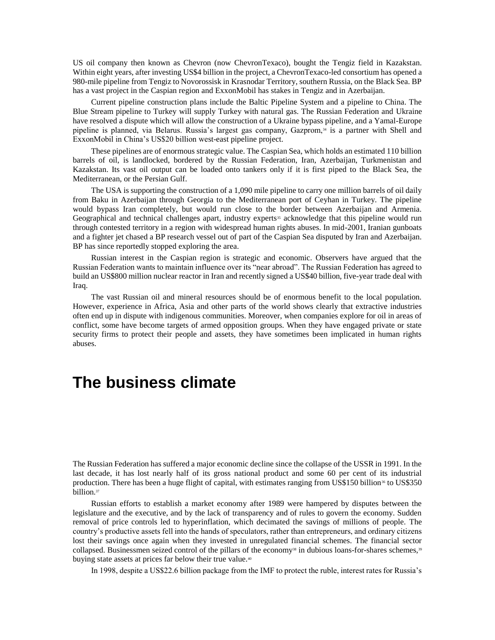US oil company then known as Chevron (now ChevronTexaco), bought the Tengiz field in Kazakstan. Within eight years, after investing US\$4 billion in the project, a ChevronTexaco-led consortium has opened a 980-mile pipeline from Tengiz to Novorossisk in Krasnodar Territory, southern Russia, on the Black Sea. BP has a vast project in the Caspian region and ExxonMobil has stakes in Tengiz and in Azerbaijan.

Current pipeline construction plans include the Baltic Pipeline System and a pipeline to China. The Blue Stream pipeline to Turkey will supply Turkey with natural gas. The Russian Federation and Ukraine have resolved a dispute which will allow the construction of a Ukraine bypass pipeline, and a Yamal-Europe pipeline is planned, via Belarus. Russia's largest gas company, Gazprom,<sup>34</sup> is a partner with Shell and ExxonMobil in China's US\$20 billion west-east pipeline project.

These pipelines are of enormous strategic value. The Caspian Sea, which holds an estimated 110 billion barrels of oil, is landlocked, bordered by the Russian Federation, Iran, Azerbaijan, Turkmenistan and Kazakstan. Its vast oil output can be loaded onto tankers only if it is first piped to the Black Sea, the Mediterranean, or the Persian Gulf.

The USA is supporting the construction of a 1,090 mile pipeline to carry one million barrels of oil daily from Baku in Azerbaijan through Georgia to the Mediterranean port of Ceyhan in Turkey. The pipeline would bypass Iran completely, but would run close to the border between Azerbaijan and Armenia. Geographical and technical challenges apart, industry experts<sup>35</sup> acknowledge that this pipeline would run through contested territory in a region with widespread human rights abuses. In mid-2001, Iranian gunboats and a fighter jet chased a BP research vessel out of part of the Caspian Sea disputed by Iran and Azerbaijan. BP has since reportedly stopped exploring the area.

Russian interest in the Caspian region is strategic and economic. Observers have argued that the Russian Federation wants to maintain influence over its "near abroad". The Russian Federation has agreed to build an US\$800 million nuclear reactor in Iran and recently signed a US\$40 billion, five-year trade deal with Iraq.

The vast Russian oil and mineral resources should be of enormous benefit to the local population. However, experience in Africa, Asia and other parts of the world shows clearly that extractive industries often end up in dispute with indigenous communities. Moreover, when companies explore for oil in areas of conflict, some have become targets of armed opposition groups. When they have engaged private or state security firms to protect their people and assets, they have sometimes been implicated in human rights abuses.

### **The business climate**

The Russian Federation has suffered a major economic decline since the collapse of the USSR in 1991. In the last decade, it has lost nearly half of its gross national product and some 60 per cent of its industrial production. There has been a huge flight of capital, with estimates ranging from US\$150 billion<sup>36</sup> to US\$350 billion.<sup>37</sup>

Russian efforts to establish a market economy after 1989 were hampered by disputes between the legislature and the executive, and by the lack of transparency and of rules to govern the economy. Sudden removal of price controls led to hyperinflation, which decimated the savings of millions of people. The country's productive assets fell into the hands of speculators, rather than entrepreneurs, and ordinary citizens lost their savings once again when they invested in unregulated financial schemes. The financial sector collapsed. Businessmen seized control of the pillars of the economy<sup>38</sup> in dubious loans-for-shares schemes,<sup>39</sup> buying state assets at prices far below their true value.<sup>40</sup>

In 1998, despite a US\$22.6 billion package from the IMF to protect the ruble, interest rates for Russia's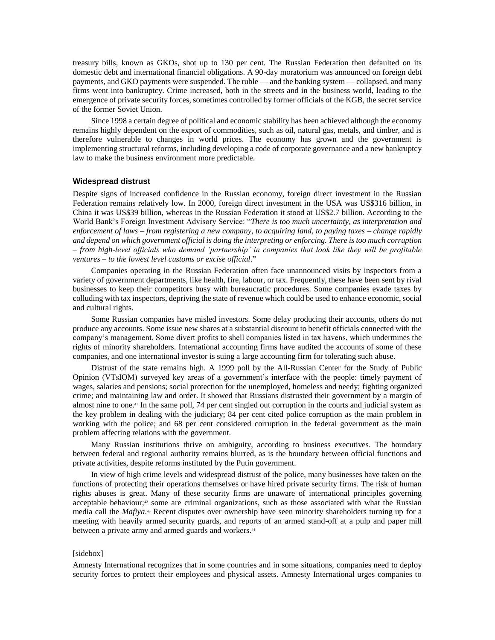treasury bills, known as GKOs, shot up to 130 per cent. The Russian Federation then defaulted on its domestic debt and international financial obligations. A 90-day moratorium was announced on foreign debt payments, and GKO payments were suspended. The ruble — and the banking system — collapsed, and many firms went into bankruptcy. Crime increased, both in the streets and in the business world, leading to the emergence of private security forces, sometimes controlled by former officials of the KGB, the secret service of the former Soviet Union.

Since 1998 a certain degree of political and economic stability has been achieved although the economy remains highly dependent on the export of commodities, such as oil, natural gas, metals, and timber, and is therefore vulnerable to changes in world prices. The economy has grown and the government is implementing structural reforms, including developing a code of corporate governance and a new bankruptcy law to make the business environment more predictable.

#### **Widespread distrust**

Despite signs of increased confidence in the Russian economy, foreign direct investment in the Russian Federation remains relatively low. In 2000, foreign direct investment in the USA was US\$316 billion, in China it was US\$39 billion, whereas in the Russian Federation it stood at US\$2.7 billion. According to the World Bank's Foreign Investment Advisory Service: "*There is too much uncertainty, as interpretation and enforcement of laws – from registering a new company, to acquiring land, to paying taxes – change rapidly and depend on which government official is doing the interpreting or enforcing. There is too much corruption – from high-level officials who demand 'partnership' in companies that look like they will be profitable ventures – to the lowest level customs or excise official*."

Companies operating in the Russian Federation often face unannounced visits by inspectors from a variety of government departments, like health, fire, labour, or tax. Frequently, these have been sent by rival businesses to keep their competitors busy with bureaucratic procedures. Some companies evade taxes by colluding with tax inspectors, depriving the state of revenue which could be used to enhance economic, social and cultural rights.

Some Russian companies have misled investors. Some delay producing their accounts, others do not produce any accounts. Some issue new shares at a substantial discount to benefit officials connected with the company's management. Some divert profits to shell companies listed in tax havens, which undermines the rights of minority shareholders. International accounting firms have audited the accounts of some of these companies, and one international investor is suing a large accounting firm for tolerating such abuse.

Distrust of the state remains high. A 1999 poll by the All-Russian Center for the Study of Public Opinion (VTsIOM) surveyed key areas of a government's interface with the people: timely payment of wages, salaries and pensions; social protection for the unemployed, homeless and needy; fighting organized crime; and maintaining law and order. It showed that Russians distrusted their government by a margin of almost nine to one.<sup>41</sup> In the same poll, 74 per cent singled out corruption in the courts and judicial system as the key problem in dealing with the judiciary; 84 per cent cited police corruption as the main problem in working with the police; and 68 per cent considered corruption in the federal government as the main problem affecting relations with the government.

Many Russian institutions thrive on ambiguity, according to business executives. The boundary between federal and regional authority remains blurred, as is the boundary between official functions and private activities, despite reforms instituted by the Putin government.

In view of high crime levels and widespread distrust of the police, many businesses have taken on the functions of protecting their operations themselves or have hired private security firms. The risk of human rights abuses is great. Many of these security firms are unaware of international principles governing acceptable behaviour;<sup>42</sup> some are criminal organizations, such as those associated with what the Russian media call the *Mafiya*. <sup>43</sup> Recent disputes over ownership have seen minority shareholders turning up for a meeting with heavily armed security guards, and reports of an armed stand-off at a pulp and paper mill between a private army and armed guards and workers.<sup>44</sup>

#### [sidebox]

Amnesty International recognizes that in some countries and in some situations, companies need to deploy security forces to protect their employees and physical assets. Amnesty International urges companies to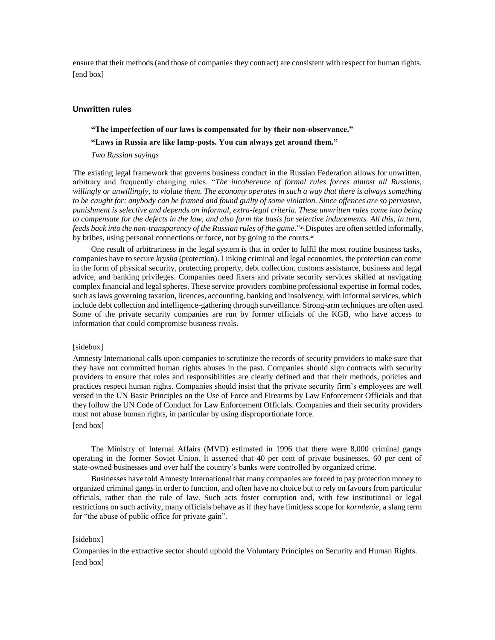ensure that their methods (and those of companies they contract) are consistent with respect for human rights. [end box]

#### **Unwritten rules**

#### **"The imperfection of our laws is compensated for by their non-observance."**

#### **"Laws in Russia are like lamp-posts. You can always get around them."**

*Two Russian sayings*

The existing legal framework that governs business conduct in the Russian Federation allows for unwritten, arbitrary and frequently changing rules. "*The incoherence of formal rules forces almost all Russians,*  willingly or unwillingly, to violate them. The economy operates in such a way that there is always something *to be caught for: anybody can be framed and found guilty of some violation. Since offences are so pervasive, punishment is selective and depends on informal, extra-legal criteria. These unwritten rules come into being to compensate for the defects in the law, and also form the basis for selective inducements. All this, in turn, feeds back into the non-transparency of the Russian rules of the game*."<sup>45</sup> Disputes are often settled informally, by bribes, using personal connections or force, not by going to the courts.<sup>46</sup>

One result of arbitrariness in the legal system is that in order to fulfil the most routine business tasks, companies have to secure *krysha* (protection). Linking criminal and legal economies, the protection can come in the form of physical security, protecting property, debt collection, customs assistance, business and legal advice, and banking privileges. Companies need fixers and private security services skilled at navigating complex financial and legal spheres. These service providers combine professional expertise in formal codes, such as laws governing taxation, licences, accounting, banking and insolvency, with informal services, which include debt collection and intelligence-gathering through surveillance. Strong-arm techniques are often used. Some of the private security companies are run by former officials of the KGB, who have access to information that could compromise business rivals.

#### [sidebox]

Amnesty International calls upon companies to scrutinize the records of security providers to make sure that they have not committed human rights abuses in the past. Companies should sign contracts with security providers to ensure that roles and responsibilities are clearly defined and that their methods, policies and practices respect human rights. Companies should insist that the private security firm's employees are well versed in the UN Basic Principles on the Use of Force and Firearms by Law Enforcement Officials and that they follow the UN Code of Conduct for Law Enforcement Officials. Companies and their security providers must not abuse human rights, in particular by using disproportionate force. [end box]

The Ministry of Internal Affairs (MVD) estimated in 1996 that there were 8,000 criminal gangs operating in the former Soviet Union. It asserted that 40 per cent of private businesses, 60 per cent of state-owned businesses and over half the country's banks were controlled by organized crime.

Businesses have told Amnesty International that many companies are forced to pay protection money to organized criminal gangs in order to function, and often have no choice but to rely on favours from particular officials, rather than the rule of law. Such acts foster corruption and, with few institutional or legal restrictions on such activity, many officials behave as if they have limitless scope for *kormlenie*, a slang term for "the abuse of public office for private gain".

#### [sidebox]

Companies in the extractive sector should uphold the Voluntary Principles on Security and Human Rights. [end box]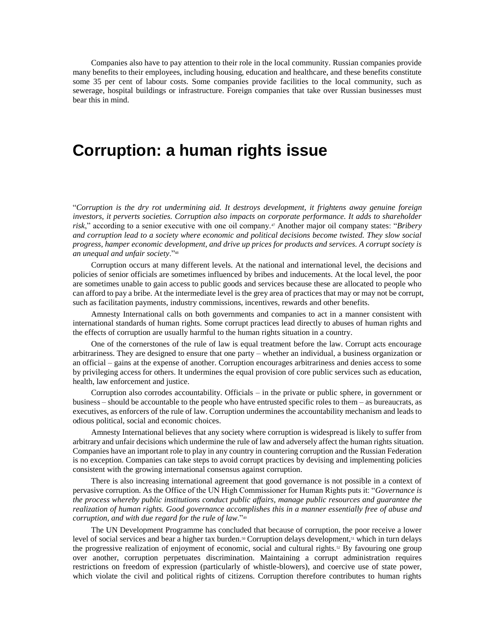Companies also have to pay attention to their role in the local community. Russian companies provide many benefits to their employees, including housing, education and healthcare, and these benefits constitute some 35 per cent of labour costs. Some companies provide facilities to the local community, such as sewerage, hospital buildings or infrastructure. Foreign companies that take over Russian businesses must bear this in mind.

### **Corruption: a human rights issue**

"*Corruption is the dry rot undermining aid. It destroys development, it frightens away genuine foreign investors, it perverts societies. Corruption also impacts on corporate performance. It adds to shareholder risk*," according to a senior executive with one oil company.<sup>47</sup> Another major oil company states: "*Bribery and corruption lead to a society where economic and political decisions become twisted. They slow social progress, hamper economic development, and drive up prices for products and services. A corrupt society is an unequal and unfair society*."<sup>48</sup>

Corruption occurs at many different levels. At the national and international level, the decisions and policies of senior officials are sometimes influenced by bribes and inducements. At the local level, the poor are sometimes unable to gain access to public goods and services because these are allocated to people who can afford to pay a bribe. At the intermediate level is the grey area of practices that may or may not be corrupt, such as facilitation payments, industry commissions, incentives, rewards and other benefits.

Amnesty International calls on both governments and companies to act in a manner consistent with international standards of human rights. Some corrupt practices lead directly to abuses of human rights and the effects of corruption are usually harmful to the human rights situation in a country.

One of the cornerstones of the rule of law is equal treatment before the law. Corrupt acts encourage arbitrariness. They are designed to ensure that one party – whether an individual, a business organization or an official – gains at the expense of another. Corruption encourages arbitrariness and denies access to some by privileging access for others. It undermines the equal provision of core public services such as education, health, law enforcement and justice.

Corruption also corrodes accountability. Officials – in the private or public sphere, in government or business – should be accountable to the people who have entrusted specific roles to them – as bureaucrats, as executives, as enforcers of the rule of law. Corruption undermines the accountability mechanism and leads to odious political, social and economic choices.

Amnesty International believes that any society where corruption is widespread is likely to suffer from arbitrary and unfair decisions which undermine the rule of law and adversely affect the human rights situation. Companies have an important role to play in any country in countering corruption and the Russian Federation is no exception. Companies can take steps to avoid corrupt practices by devising and implementing policies consistent with the growing international consensus against corruption.

There is also increasing international agreement that good governance is not possible in a context of pervasive corruption. As the Office of the UN High Commissioner for Human Rights puts it: "*Governance is the process whereby public institutions conduct public affairs, manage public resources and guarantee the realization of human rights. Good governance accomplishes this in a manner essentially free of abuse and corruption, and with due regard for the rule of law*."<sup>49</sup>

The UN Development Programme has concluded that because of corruption, the poor receive a lower level of social services and bear a higher tax burden.<sup>50</sup> Corruption delays development,<sup>51</sup> which in turn delays the progressive realization of enjoyment of economic, social and cultural rights.<sup>52</sup> By favouring one group over another, corruption perpetuates discrimination. Maintaining a corrupt administration requires restrictions on freedom of expression (particularly of whistle-blowers), and coercive use of state power, which violate the civil and political rights of citizens. Corruption therefore contributes to human rights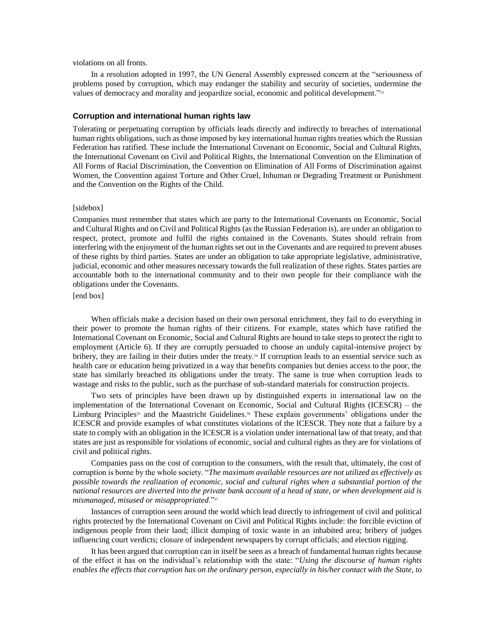violations on all fronts.

In a resolution adopted in 1997, the UN General Assembly expressed concern at the "seriousness of problems posed by corruption, which may endanger the stability and security of societies, undermine the values of democracy and morality and jeopardize social, economic and political development."<sup>53</sup>

#### **Corruption and international human rights law**

Tolerating or perpetuating corruption by officials leads directly and indirectly to breaches of international human rights obligations, such as those imposed by key international human rights treaties which the Russian Federation has ratified. These include the International Covenant on Economic, Social and Cultural Rights, the International Covenant on Civil and Political Rights, the International Convention on the Elimination of All Forms of Racial Discrimination, the Convention on Elimination of All Forms of Discrimination against Women, the Convention against Torture and Other Cruel, Inhuman or Degrading Treatment or Punishment and the Convention on the Rights of the Child.

#### [sidebox]

Companies must remember that states which are party to the International Covenants on Economic, Social and Cultural Rights and on Civil and Political Rights (as the Russian Federation is), are under an obligation to respect, protect, promote and fulfil the rights contained in the Covenants. States should refrain from interfering with the enjoyment of the human rights set out in the Covenants and are required to prevent abuses of these rights by third parties. States are under an obligation to take appropriate legislative, administrative, judicial, economic and other measures necessary towards the full realization of these rights. States parties are accountable both to the international community and to their own people for their compliance with the obligations under the Covenants.

#### [end box]

When officials make a decision based on their own personal enrichment, they fail to do everything in their power to promote the human rights of their citizens. For example, states which have ratified the International Covenant on Economic, Social and Cultural Rights are bound to take steps to protect the right to employment (Article 6). If they are corruptly persuaded to choose an unduly capital-intensive project by bribery, they are failing in their duties under the treaty.<sup>54</sup> If corruption leads to an essential service such as health care or education being privatized in a way that benefits companies but denies access to the poor, the state has similarly breached its obligations under the treaty. The same is true when corruption leads to wastage and risks to the public, such as the purchase of sub-standard materials for construction projects.

Two sets of principles have been drawn up by distinguished experts in international law on the implementation of the International Covenant on Economic, Social and Cultural Rights (ICESCR) – the Limburg Principles<sup>55</sup> and the Maastricht Guidelines.<sup>56</sup> These explain governments' obligations under the ICESCR and provide examples of what constitutes violations of the ICESCR. They note that a failure by a state to comply with an obligation in the ICESCR is a violation under international law of that treaty, and that states are just as responsible for violations of economic, social and cultural rights as they are for violations of civil and political rights.

Companies pass on the cost of corruption to the consumers, with the result that, ultimately, the cost of corruption is borne by the whole society. "*The maximum available resources are not utilized as effectively as possible towards the realization of economic, social and cultural rights when a substantial portion of the national resources are diverted into the private bank account of a head of state, or when development aid is mismanaged, misused or misappropriated*."<sup>57</sup>

Instances of corruption seen around the world which lead directly to infringement of civil and political rights protected by the International Covenant on Civil and Political Rights include: the forcible eviction of indigenous people from their land; illicit dumping of toxic waste in an inhabited area; bribery of judges influencing court verdicts; closure of independent newspapers by corrupt officials; and election rigging.

It has been argued that corruption can in itself be seen as a breach of fundamental human rights because of the effect it has on the individual's relationship with the state: "*Using the discourse of human rights enables the effects that corruption has on the ordinary person, especially in his/her contact with the State, to*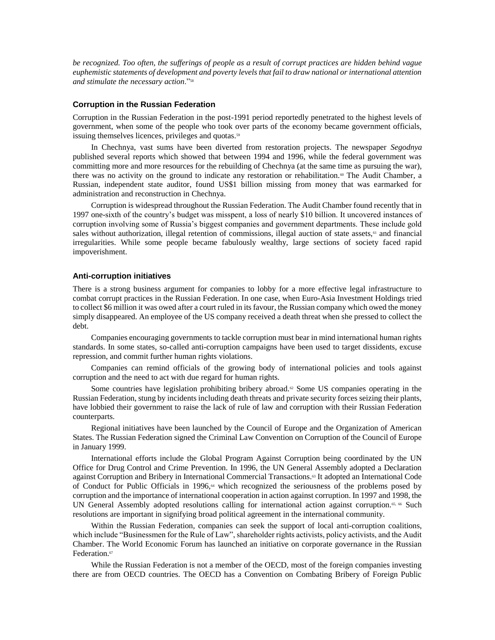*be recognized. Too often, the sufferings of people as a result of corrupt practices are hidden behind vague euphemistic statements of development and poverty levels that fail to draw national or international attention and stimulate the necessary action*."<sup>58</sup>

#### **Corruption in the Russian Federation**

Corruption in the Russian Federation in the post-1991 period reportedly penetrated to the highest levels of government, when some of the people who took over parts of the economy became government officials, issuing themselves licences, privileges and quotas.<sup>59</sup>

In Chechnya, vast sums have been diverted from restoration projects. The newspaper *Segodnya* published several reports which showed that between 1994 and 1996, while the federal government was committing more and more resources for the rebuilding of Chechnya (at the same time as pursuing the war), there was no activity on the ground to indicate any restoration or rehabilitation.<sup>60</sup> The Audit Chamber, a Russian, independent state auditor, found US\$1 billion missing from money that was earmarked for administration and reconstruction in Chechnya.

Corruption is widespread throughout the Russian Federation. The Audit Chamber found recently that in 1997 one-sixth of the country's budget was misspent, a loss of nearly \$10 billion. It uncovered instances of corruption involving some of Russia's biggest companies and government departments. These include gold sales without authorization, illegal retention of commissions, illegal auction of state assets,<sup>51</sup> and financial irregularities. While some people became fabulously wealthy, large sections of society faced rapid impoverishment.

#### **Anti-corruption initiatives**

There is a strong business argument for companies to lobby for a more effective legal infrastructure to combat corrupt practices in the Russian Federation. In one case, when Euro-Asia Investment Holdings tried to collect \$6 million it was owed after a court ruled in its favour, the Russian company which owed the money simply disappeared. An employee of the US company received a death threat when she pressed to collect the debt.

Companies encouraging governments to tackle corruption must bear in mind international human rights standards. In some states, so-called anti-corruption campaigns have been used to target dissidents, excuse repression, and commit further human rights violations.

Companies can remind officials of the growing body of international policies and tools against corruption and the need to act with due regard for human rights.

Some countries have legislation prohibiting bribery abroad.<sup>62</sup> Some US companies operating in the Russian Federation, stung by incidents including death threats and private security forces seizing their plants, have lobbied their government to raise the lack of rule of law and corruption with their Russian Federation counterparts.

Regional initiatives have been launched by the Council of Europe and the Organization of American States. The Russian Federation signed the Criminal Law Convention on Corruption of the Council of Europe in January 1999.

International efforts include the Global Program Against Corruption being coordinated by the UN Office for Drug Control and Crime Prevention. In 1996, the UN General Assembly adopted a Declaration against Corruption and Bribery in International Commercial Transactions.<sup>63</sup> It adopted an International Code of Conduct for Public Officials in 1996,<sup>64</sup> which recognized the seriousness of the problems posed by corruption and the importance of international cooperation in action against corruption. In 1997 and 1998, the UN General Assembly adopted resolutions calling for international action against corruption.<sup>65, 66</sup> Such resolutions are important in signifying broad political agreement in the international community.

Within the Russian Federation, companies can seek the support of local anti-corruption coalitions, which include "Businessmen for the Rule of Law", shareholder rights activists, policy activists, and the Audit Chamber. The World Economic Forum has launched an initiative on corporate governance in the Russian Federation.<sup>67</sup>

While the Russian Federation is not a member of the OECD, most of the foreign companies investing there are from OECD countries. The OECD has a Convention on Combating Bribery of Foreign Public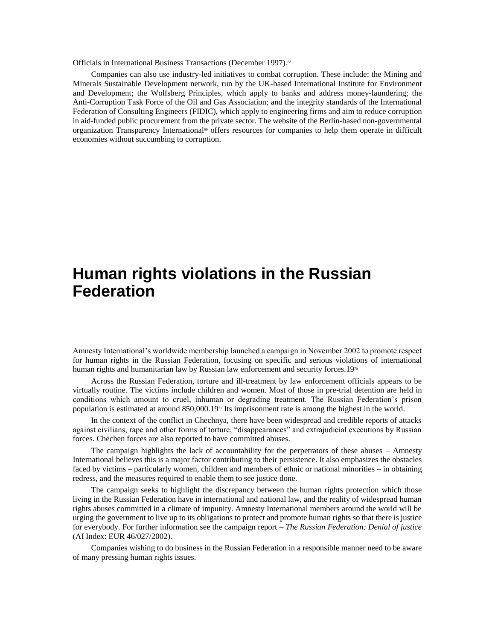Officials in International Business Transactions (December 1997).<sup>68</sup>

Companies can also use industry-led initiatives to combat corruption. These include: the Mining and Minerals Sustainable Development network, run by the UK-based International Institute for Environment and Development; the Wolfsberg Principles, which apply to banks and address money-laundering; the Anti-Corruption Task Force of the Oil and Gas Association; and the integrity standards of the International Federation of Consulting Engineers (FIDIC), which apply to engineering firms and aim to reduce corruption in aid-funded public procurement from the private sector. The website of the Berlin-based non-governmental organization Transparency International<sup>®</sup> offers resources for companies to help them operate in difficult economies without succumbing to corruption.

## **Human rights violations in the Russian Federation**

Amnesty International's worldwide membership launched a campaign in November 2002 to promote respect for human rights in the Russian Federation, focusing on specific and serious violations of international human rights and humanitarian law by Russian law enforcement and security forces.19<sup>70</sup>

Across the Russian Federation, torture and ill-treatment by law enforcement officials appears to be virtually routine. The victims include children and women. Most of those in pre-trial detention are held in conditions which amount to cruel, inhuman or degrading treatment. The Russian Federation's prison population is estimated at around  $850,000.19$ <sup>71</sup> Its imprisonment rate is among the highest in the world.

In the context of the conflict in Chechnya, there have been widespread and credible reports of attacks against civilians, rape and other forms of torture, "disappearances" and extrajudicial executions by Russian forces. Chechen forces are also reported to have committed abuses.

The campaign highlights the lack of accountability for the perpetrators of these abuses – Amnesty International believes this is a major factor contributing to their persistence. It also emphasizes the obstacles faced by victims – particularly women, children and members of ethnic or national minorities – in obtaining redress, and the measures required to enable them to see justice done.

The campaign seeks to highlight the discrepancy between the human rights protection which those living in the Russian Federation have in international and national law, and the reality of widespread human rights abuses committed in a climate of impunity. Amnesty International members around the world will be urging the government to live up to its obligations to protect and promote human rights so that there is justice for everybody. For further information see the campaign report – *The Russian Federation: Denial of justice* (AI Index: EUR 46/027/2002).

Companies wishing to do business in the Russian Federation in a responsible manner need to be aware of many pressing human rights issues.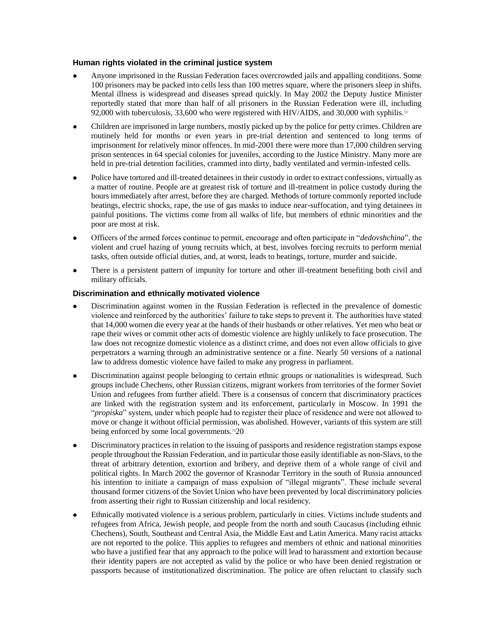#### **Human rights violated in the criminal justice system**

- Anyone imprisoned in the Russian Federation faces overcrowded jails and appalling conditions. Some 100 prisoners may be packed into cells less than 100 metres square, where the prisoners sleep in shifts. Mental illness is widespread and diseases spread quickly. In May 2002 the Deputy Justice Minister reportedly stated that more than half of all prisoners in the Russian Federation were ill, including 92,000 with tuberculosis, 33,600 who were registered with HIV/AIDS, and 30,000 with syphilis.<sup>72</sup>
- Children are imprisoned in large numbers, mostly picked up by the police for petty crimes. Children are routinely held for months or even years in pre-trial detention and sentenced to long terms of imprisonment for relatively minor offences. In mid-2001 there were more than 17,000 children serving prison sentences in 64 special colonies for juveniles, according to the Justice Ministry. Many more are held in pre-trial detention facilities, crammed into dirty, badly ventilated and vermin-infested cells.
- Police have tortured and ill-treated detainees in their custody in order to extract confessions, virtually as a matter of routine. People are at greatest risk of torture and ill-treatment in police custody during the hours immediately after arrest, before they are charged. Methods of torture commonly reported include beatings, electric shocks, rape, the use of gas masks to induce near-suffocation, and tying detainees in painful positions. The victims come from all walks of life, but members of ethnic minorities and the poor are most at risk.
- Officers of the armed forces continue to permit, encourage and often participate in "*dedovshchina*", the violent and cruel hazing of young recruits which, at best, involves forcing recruits to perform menial tasks, often outside official duties, and, at worst, leads to beatings, torture, murder and suicide.
- There is a persistent pattern of impunity for torture and other ill-treatment benefiting both civil and military officials.

#### **Discrimination and ethnically motivated violence**

- Discrimination against women in the Russian Federation is reflected in the prevalence of domestic violence and reinforced by the authorities' failure to take steps to prevent it. The authorities have stated that 14,000 women die every year at the hands of their husbands or other relatives. Yet men who beat or rape their wives or commit other acts of domestic violence are highly unlikely to face prosecution. The law does not recognize domestic violence as a distinct crime, and does not even allow officials to give perpetrators a warning through an administrative sentence or a fine. Nearly 50 versions of a national law to address domestic violence have failed to make any progress in parliament.
- Discrimination against people belonging to certain ethnic groups or nationalities is widespread. Such groups include Chechens, other Russian citizens, migrant workers from territories of the former Soviet Union and refugees from further afield. There is a consensus of concern that discriminatory practices are linked with the registration system and its enforcement, particularly in Moscow. In 1991 the "*propiska*" system, under which people had to register their place of residence and were not allowed to move or change it without official permission, was abolished. However, variants of this system are still being enforced by some local governments.<sup>73</sup>20
- Discriminatory practices in relation to the issuing of passports and residence registration stamps expose people throughout the Russian Federation, and in particular those easily identifiable as non-Slavs, to the threat of arbitrary detention, extortion and bribery, and deprive them of a whole range of civil and political rights. In March 2002 the governor of Krasnodar Territory in the south of Russia announced his intention to initiate a campaign of mass expulsion of "illegal migrants". These include several thousand former citizens of the Soviet Union who have been prevented by local discriminatory policies from asserting their right to Russian citizenship and local residency.
- Ethnically motivated violence is a serious problem, particularly in cities. Victims include students and refugees from Africa, Jewish people, and people from the north and south Caucasus (including ethnic Chechens), South, Southeast and Central Asia, the Middle East and Latin America. Many racist attacks are not reported to the police. This applies to refugees and members of ethnic and national minorities who have a justified fear that any approach to the police will lead to harassment and extortion because their identity papers are not accepted as valid by the police or who have been denied registration or passports because of institutionalized discrimination. The police are often reluctant to classify such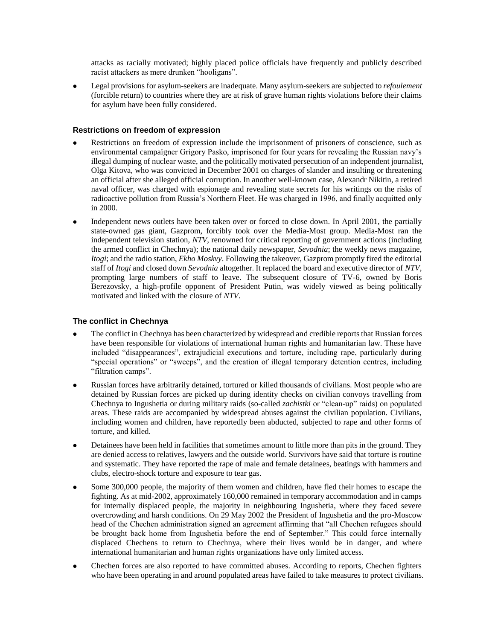attacks as racially motivated; highly placed police officials have frequently and publicly described racist attackers as mere drunken "hooligans".

 Legal provisions for asylum-seekers are inadequate. Many asylum-seekers are subjected to *refoulement* (forcible return) to countries where they are at risk of grave human rights violations before their claims for asylum have been fully considered.

#### **Restrictions on freedom of expression**

- Restrictions on freedom of expression include the imprisonment of prisoners of conscience, such as environmental campaigner Grigory Pasko, imprisoned for four years for revealing the Russian navy's illegal dumping of nuclear waste, and the politically motivated persecution of an independent journalist, Olga Kitova, who was convicted in December 2001 on charges of slander and insulting or threatening an official after she alleged official corruption. In another well-known case, Alexandr Nikitin, a retired naval officer, was charged with espionage and revealing state secrets for his writings on the risks of radioactive pollution from Russia's Northern Fleet. He was charged in 1996, and finally acquitted only in 2000.
- Independent news outlets have been taken over or forced to close down. In April 2001, the partially state-owned gas giant, Gazprom, forcibly took over the Media-Most group. Media-Most ran the independent television station, *NTV*, renowned for critical reporting of government actions (including the armed conflict in Chechnya); the national daily newspaper, *Sevodnia*; the weekly news magazine, *Itogi*; and the radio station, *Ekho Moskvy*. Following the takeover, Gazprom promptly fired the editorial staff of *Itogi* and closed down *Sevodnia* altogether. It replaced the board and executive director of *NTV*, prompting large numbers of staff to leave. The subsequent closure of TV-6, owned by Boris Berezovsky, a high-profile opponent of President Putin, was widely viewed as being politically motivated and linked with the closure of *NTV*.

#### **The conflict in Chechnya**

- The conflict in Chechnya has been characterized by widespread and credible reports that Russian forces have been responsible for violations of international human rights and humanitarian law. These have included "disappearances", extrajudicial executions and torture, including rape, particularly during "special operations" or "sweeps", and the creation of illegal temporary detention centres, including "filtration camps".
- Russian forces have arbitrarily detained, tortured or killed thousands of civilians. Most people who are detained by Russian forces are picked up during identity checks on civilian convoys travelling from Chechnya to Ingushetia or during military raids (so-called *zachistki* or "clean-up" raids) on populated areas. These raids are accompanied by widespread abuses against the civilian population. Civilians, including women and children, have reportedly been abducted, subjected to rape and other forms of torture, and killed.
- Detainees have been held in facilities that sometimes amount to little more than pits in the ground. They are denied access to relatives, lawyers and the outside world. Survivors have said that torture is routine and systematic. They have reported the rape of male and female detainees, beatings with hammers and clubs, electro-shock torture and exposure to tear gas.
- Some 300,000 people, the majority of them women and children, have fled their homes to escape the fighting. As at mid-2002, approximately 160,000 remained in temporary accommodation and in camps for internally displaced people, the majority in neighbouring Ingushetia, where they faced severe overcrowding and harsh conditions. On 29 May 2002 the President of Ingushetia and the pro-Moscow head of the Chechen administration signed an agreement affirming that "all Chechen refugees should be brought back home from Ingushetia before the end of September." This could force internally displaced Chechens to return to Chechnya, where their lives would be in danger, and where international humanitarian and human rights organizations have only limited access.
- Chechen forces are also reported to have committed abuses. According to reports, Chechen fighters who have been operating in and around populated areas have failed to take measures to protect civilians.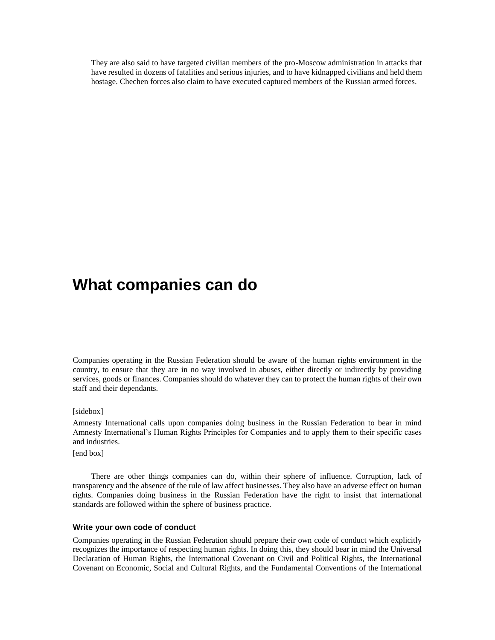They are also said to have targeted civilian members of the pro-Moscow administration in attacks that have resulted in dozens of fatalities and serious injuries, and to have kidnapped civilians and held them hostage. Chechen forces also claim to have executed captured members of the Russian armed forces.

### **What companies can do**

Companies operating in the Russian Federation should be aware of the human rights environment in the country, to ensure that they are in no way involved in abuses, either directly or indirectly by providing services, goods or finances. Companies should do whatever they can to protect the human rights of their own staff and their dependants.

#### [sidebox]

Amnesty International calls upon companies doing business in the Russian Federation to bear in mind Amnesty International's Human Rights Principles for Companies and to apply them to their specific cases and industries.

[end box]

There are other things companies can do, within their sphere of influence. Corruption, lack of transparency and the absence of the rule of law affect businesses. They also have an adverse effect on human rights. Companies doing business in the Russian Federation have the right to insist that international standards are followed within the sphere of business practice.

#### **Write your own code of conduct**

Companies operating in the Russian Federation should prepare their own code of conduct which explicitly recognizes the importance of respecting human rights. In doing this, they should bear in mind the Universal Declaration of Human Rights, the International Covenant on Civil and Political Rights, the International Covenant on Economic, Social and Cultural Rights, and the Fundamental Conventions of the International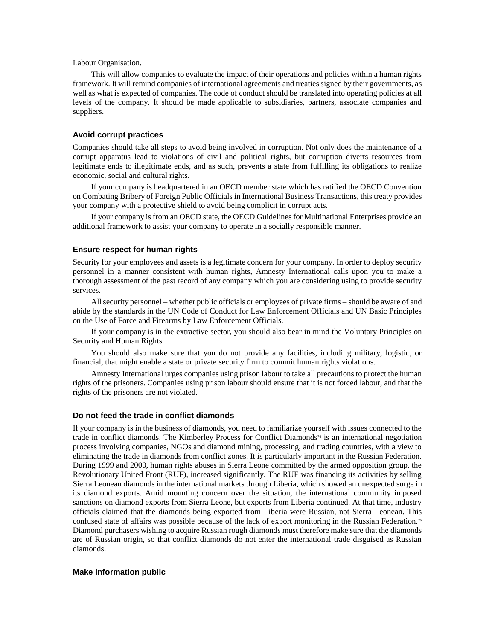Labour Organisation.

This will allow companies to evaluate the impact of their operations and policies within a human rights framework. It will remind companies of international agreements and treaties signed by their governments, as well as what is expected of companies. The code of conduct should be translated into operating policies at all levels of the company. It should be made applicable to subsidiaries, partners, associate companies and suppliers.

#### **Avoid corrupt practices**

Companies should take all steps to avoid being involved in corruption. Not only does the maintenance of a corrupt apparatus lead to violations of civil and political rights, but corruption diverts resources from legitimate ends to illegitimate ends, and as such, prevents a state from fulfilling its obligations to realize economic, social and cultural rights.

If your company is headquartered in an OECD member state which has ratified the OECD Convention on Combating Bribery of Foreign Public Officials in International Business Transactions, this treaty provides your company with a protective shield to avoid being complicit in corrupt acts.

If your company is from an OECD state, the OECD Guidelines for Multinational Enterprises provide an additional framework to assist your company to operate in a socially responsible manner.

#### **Ensure respect for human rights**

Security for your employees and assets is a legitimate concern for your company. In order to deploy security personnel in a manner consistent with human rights, Amnesty International calls upon you to make a thorough assessment of the past record of any company which you are considering using to provide security services.

All security personnel – whether public officials or employees of private firms – should be aware of and abide by the standards in the UN Code of Conduct for Law Enforcement Officials and UN Basic Principles on the Use of Force and Firearms by Law Enforcement Officials.

If your company is in the extractive sector, you should also bear in mind the Voluntary Principles on Security and Human Rights.

You should also make sure that you do not provide any facilities, including military, logistic, or financial, that might enable a state or private security firm to commit human rights violations.

Amnesty International urges companies using prison labour to take all precautions to protect the human rights of the prisoners. Companies using prison labour should ensure that it is not forced labour, and that the rights of the prisoners are not violated.

#### **Do not feed the trade in conflict diamonds**

If your company is in the business of diamonds, you need to familiarize yourself with issues connected to the trade in conflict diamonds. The Kimberley Process for Conflict Diamonds<sup> $74$ </sup> is an international negotiation process involving companies, NGOs and diamond mining, processing, and trading countries, with a view to eliminating the trade in diamonds from conflict zones. It is particularly important in the Russian Federation. During 1999 and 2000, human rights abuses in Sierra Leone committed by the armed opposition group, the Revolutionary United Front (RUF), increased significantly. The RUF was financing its activities by selling Sierra Leonean diamonds in the international markets through Liberia, which showed an unexpected surge in its diamond exports. Amid mounting concern over the situation, the international community imposed sanctions on diamond exports from Sierra Leone, but exports from Liberia continued. At that time, industry officials claimed that the diamonds being exported from Liberia were Russian, not Sierra Leonean. This confused state of affairs was possible because of the lack of export monitoring in the Russian Federation.<sup>75</sup> Diamond purchasers wishing to acquire Russian rough diamonds must therefore make sure that the diamonds are of Russian origin, so that conflict diamonds do not enter the international trade disguised as Russian diamonds.

#### **Make information public**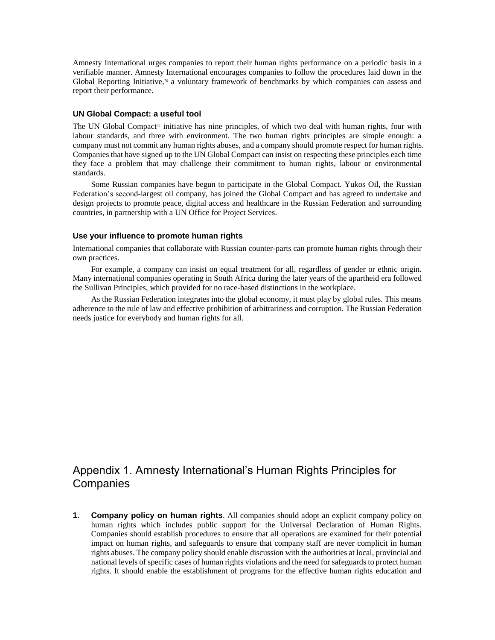Amnesty International urges companies to report their human rights performance on a periodic basis in a verifiable manner. Amnesty International encourages companies to follow the procedures laid down in the Global Reporting Initiative, $\pi$  a voluntary framework of benchmarks by which companies can assess and report their performance.

#### **UN Global Compact: a useful tool**

The UN Global Compact<sup>77</sup> initiative has nine principles, of which two deal with human rights, four with labour standards, and three with environment. The two human rights principles are simple enough: a company must not commit any human rights abuses, and a company should promote respect for human rights. Companies that have signed up to the UN Global Compact can insist on respecting these principles each time they face a problem that may challenge their commitment to human rights, labour or environmental standards.

Some Russian companies have begun to participate in the Global Compact. Yukos Oil, the Russian Federation's second-largest oil company, has joined the Global Compact and has agreed to undertake and design projects to promote peace, digital access and healthcare in the Russian Federation and surrounding countries, in partnership with a UN Office for Project Services.

#### **Use your influence to promote human rights**

International companies that collaborate with Russian counter-parts can promote human rights through their own practices.

For example, a company can insist on equal treatment for all, regardless of gender or ethnic origin. Many international companies operating in South Africa during the later years of the apartheid era followed the Sullivan Principles, which provided for no race-based distinctions in the workplace.

As the Russian Federation integrates into the global economy, it must play by global rules. This means adherence to the rule of law and effective prohibition of arbitrariness and corruption. The Russian Federation needs justice for everybody and human rights for all.

### Appendix 1. Amnesty International's Human Rights Principles for **Companies**

**1. Company policy on human rights**. All companies should adopt an explicit company policy on human rights which includes public support for the Universal Declaration of Human Rights. Companies should establish procedures to ensure that all operations are examined for their potential impact on human rights, and safeguards to ensure that company staff are never complicit in human rights abuses. The company policy should enable discussion with the authorities at local, provincial and national levels of specific cases of human rights violations and the need for safeguards to protect human rights. It should enable the establishment of programs for the effective human rights education and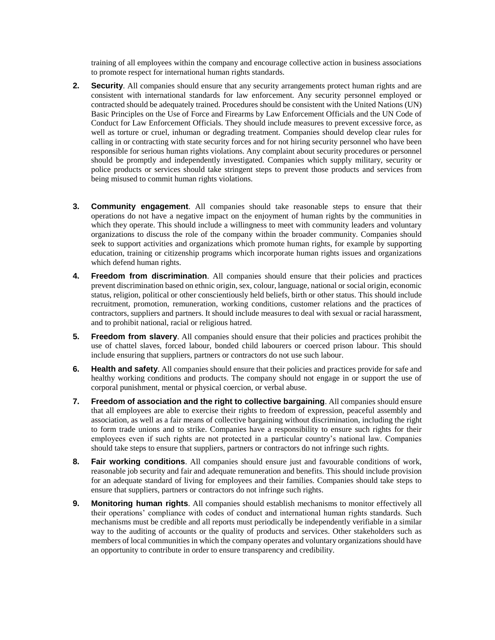training of all employees within the company and encourage collective action in business associations to promote respect for international human rights standards.

- **2. Security**. All companies should ensure that any security arrangements protect human rights and are consistent with international standards for law enforcement. Any security personnel employed or contracted should be adequately trained. Procedures should be consistent with the United Nations (UN) Basic Principles on the Use of Force and Firearms by Law Enforcement Officials and the UN Code of Conduct for Law Enforcement Officials. They should include measures to prevent excessive force, as well as torture or cruel, inhuman or degrading treatment. Companies should develop clear rules for calling in or contracting with state security forces and for not hiring security personnel who have been responsible for serious human rights violations. Any complaint about security procedures or personnel should be promptly and independently investigated. Companies which supply military, security or police products or services should take stringent steps to prevent those products and services from being misused to commit human rights violations.
- **3. Community engagement**. All companies should take reasonable steps to ensure that their operations do not have a negative impact on the enjoyment of human rights by the communities in which they operate. This should include a willingness to meet with community leaders and voluntary organizations to discuss the role of the company within the broader community. Companies should seek to support activities and organizations which promote human rights, for example by supporting education, training or citizenship programs which incorporate human rights issues and organizations which defend human rights.
- **4. Freedom from discrimination**. All companies should ensure that their policies and practices prevent discrimination based on ethnic origin, sex, colour, language, national or social origin, economic status, religion, political or other conscientiously held beliefs, birth or other status. This should include recruitment, promotion, remuneration, working conditions, customer relations and the practices of contractors, suppliers and partners. It should include measures to deal with sexual or racial harassment, and to prohibit national, racial or religious hatred.
- **5. Freedom from slavery**. All companies should ensure that their policies and practices prohibit the use of chattel slaves, forced labour, bonded child labourers or coerced prison labour. This should include ensuring that suppliers, partners or contractors do not use such labour.
- **6. Health and safety**. All companies should ensure that their policies and practices provide for safe and healthy working conditions and products. The company should not engage in or support the use of corporal punishment, mental or physical coercion, or verbal abuse.
- **7. Freedom of association and the right to collective bargaining**. All companies should ensure that all employees are able to exercise their rights to freedom of expression, peaceful assembly and association, as well as a fair means of collective bargaining without discrimination, including the right to form trade unions and to strike. Companies have a responsibility to ensure such rights for their employees even if such rights are not protected in a particular country's national law. Companies should take steps to ensure that suppliers, partners or contractors do not infringe such rights.
- **8. Fair working conditions**. All companies should ensure just and favourable conditions of work, reasonable job security and fair and adequate remuneration and benefits. This should include provision for an adequate standard of living for employees and their families. Companies should take steps to ensure that suppliers, partners or contractors do not infringe such rights.
- **9. Monitoring human rights**. All companies should establish mechanisms to monitor effectively all their operations' compliance with codes of conduct and international human rights standards. Such mechanisms must be credible and all reports must periodically be independently verifiable in a similar way to the auditing of accounts or the quality of products and services. Other stakeholders such as members of local communities in which the company operates and voluntary organizations should have an opportunity to contribute in order to ensure transparency and credibility.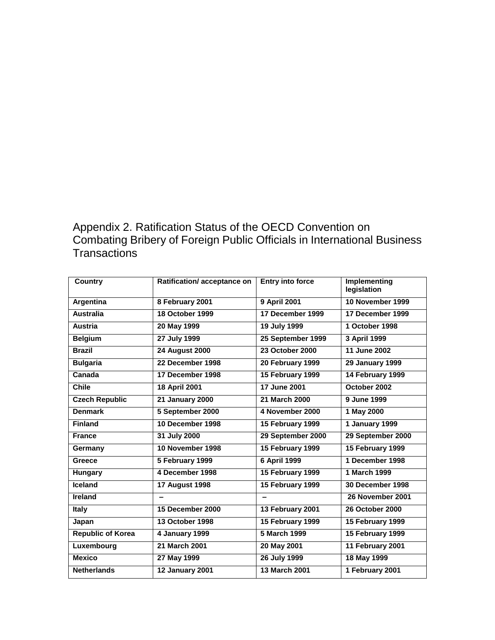### Appendix 2. Ratification Status of the OECD Convention on Combating Bribery of Foreign Public Officials in International Business **Transactions**

| <b>Country</b>           | Ratification/acceptance on | <b>Entry into force</b> | Implementing<br>legislation |
|--------------------------|----------------------------|-------------------------|-----------------------------|
| <b>Argentina</b>         | 8 February 2001            | 9 April 2001            | 10 November 1999            |
| <b>Australia</b>         | <b>18 October 1999</b>     | 17 December 1999        | 17 December 1999            |
| <b>Austria</b>           | 20 May 1999                | 19 July 1999            | 1 October 1998              |
| <b>Belgium</b>           | 27 July 1999               | 25 September 1999       | 3 April 1999                |
| <b>Brazil</b>            | <b>24 August 2000</b>      | 23 October 2000         | 11 June 2002                |
| <b>Bulgaria</b>          | 22 December 1998           | 20 February 1999        | <b>29 January 1999</b>      |
| Canada                   | 17 December 1998           | 15 February 1999        | 14 February 1999            |
| <b>Chile</b>             | <b>18 April 2001</b>       | 17 June 2001            | October 2002                |
| <b>Czech Republic</b>    | 21 January 2000            | 21 March 2000           | 9 June 1999                 |
| <b>Denmark</b>           | 5 September 2000           | 4 November 2000         | 1 May 2000                  |
| <b>Finland</b>           | 10 December 1998           | 15 February 1999        | 1 January 1999              |
| <b>France</b>            | 31 July 2000               | 29 September 2000       | 29 September 2000           |
| Germany                  | 10 November 1998           | 15 February 1999        | 15 February 1999            |
| Greece                   | 5 February 1999            | <b>6 April 1999</b>     | 1 December 1998             |
| <b>Hungary</b>           | 4 December 1998            | 15 February 1999        | 1 March 1999                |
| Iceland                  | <b>17 August 1998</b>      | 15 February 1999        | 30 December 1998            |
| <b>Ireland</b>           |                            | $\overline{a}$          | 26 November 2001            |
| <b>Italy</b>             | 15 December 2000           | 13 February 2001        | <b>26 October 2000</b>      |
| Japan                    | 13 October 1998            | 15 February 1999        | 15 February 1999            |
| <b>Republic of Korea</b> | 4 January 1999             | 5 March 1999            | 15 February 1999            |
| Luxembourg               | <b>21 March 2001</b>       | 20 May 2001             | 11 February 2001            |
| <b>Mexico</b>            | 27 May 1999                | 26 July 1999            | 18 May 1999                 |
| <b>Netherlands</b>       | 12 January 2001            | <b>13 March 2001</b>    | 1 February 2001             |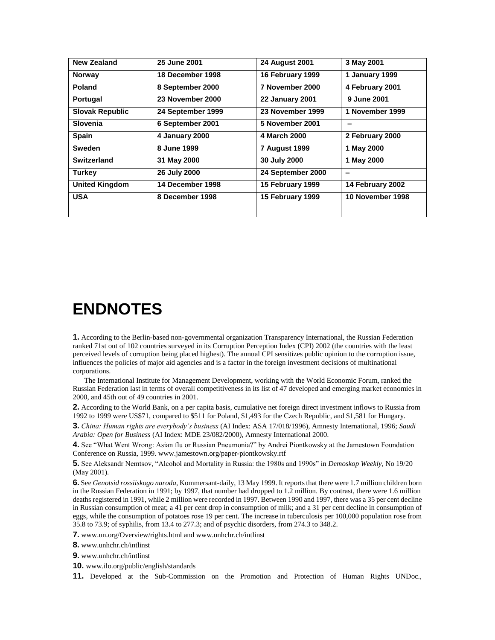| New Zealand            | 25 June 2001      | <b>24 August 2001</b>  | 3 May 2001       |
|------------------------|-------------------|------------------------|------------------|
| <b>Norway</b>          | 18 December 1998  | 16 February 1999       | 1 January 1999   |
| Poland                 | 8 September 2000  | 7 November 2000        | 4 February 2001  |
| Portugal               | 23 November 2000  | <b>22 January 2001</b> | 9 June 2001      |
| <b>Slovak Republic</b> | 24 September 1999 | 23 November 1999       | 1 November 1999  |
| Slovenia               | 6 September 2001  | 5 November 2001        |                  |
| <b>Spain</b>           | 4 January 2000    | 4 March 2000           | 2 February 2000  |
| <b>Sweden</b>          | 8 June 1999       | <b>7 August 1999</b>   | 1 May 2000       |
| <b>Switzerland</b>     | 31 May 2000       | 30 July 2000           | 1 May 2000       |
| <b>Turkey</b>          | 26 July 2000      | 24 September 2000      | -                |
| <b>United Kingdom</b>  | 14 December 1998  | 15 February 1999       | 14 February 2002 |
| <b>USA</b>             | 8 December 1998   | 15 February 1999       | 10 November 1998 |
|                        |                   |                        |                  |

## **ENDNOTES**

**1.** According to the Berlin-based non-governmental organization Transparency International, the Russian Federation ranked 71st out of 102 countries surveyed in its Corruption Perception Index (CPI) 2002 (the countries with the least perceived levels of corruption being placed highest). The annual CPI sensitizes public opinion to the corruption issue, influences the policies of major aid agencies and is a factor in the foreign investment decisions of multinational corporations.

The International Institute for Management Development, working with the World Economic Forum, ranked the Russian Federation last in terms of overall competitiveness in its list of 47 developed and emerging market economies in 2000, and 45th out of 49 countries in 2001.

**2.** According to the World Bank, on a per capita basis, cumulative net foreign direct investment inflows to Russia from 1992 to 1999 were US\$71, compared to \$511 for Poland, \$1,493 for the Czech Republic, and \$1,581 for Hungary.

**3.** *China: Human rights are everybody's business* (AI Index: ASA 17/018/1996), Amnesty International, 1996; *Saudi Arabia: Open for Business* (AI Index: MDE 23/082/2000), Amnesty International 2000.

**4.** See "What Went Wrong: Asian flu or Russian Pneumonia?" by Andrei Piontkowsky at the Jamestown Foundation Conference on Russia, 1999. www.jamestown.org/paper-piontkowsky.rtf

**5.** See Aleksandr Nemtsov, "Alcohol and Mortality in Russia: the 1980s and 1990s" in *Demoskop Weekly*, No 19/20 (May 2001).

**6.** See *Genotsid rossiiskogo naroda*, Kommersant-daily, 13 May 1999. It reports that there were 1.7 million children born in the Russian Federation in 1991; by 1997, that number had dropped to 1.2 million. By contrast, there were 1.6 million deaths registered in 1991, while 2 million were recorded in 1997. Between 1990 and 1997, there was a 35 per cent decline in Russian consumption of meat; a 41 per cent drop in consumption of milk; and a 31 per cent decline in consumption of eggs, while the consumption of potatoes rose 19 per cent. The increase in tuberculosis per 100,000 population rose from 35.8 to 73.9; of syphilis, from 13.4 to 277.3; and of psychic disorders, from 274.3 to 348.2.

**7.** www.un.org/Overview/rights.html and www.unhchr.ch/intlinst

**8.** www.unhchr.ch/intlinst

**9.** www.unhchr.ch/intlinst

**10.** www.ilo.org/public/english/standards

**11.** Developed at the Sub-Commission on the Promotion and Protection of Human Rights UNDoc.,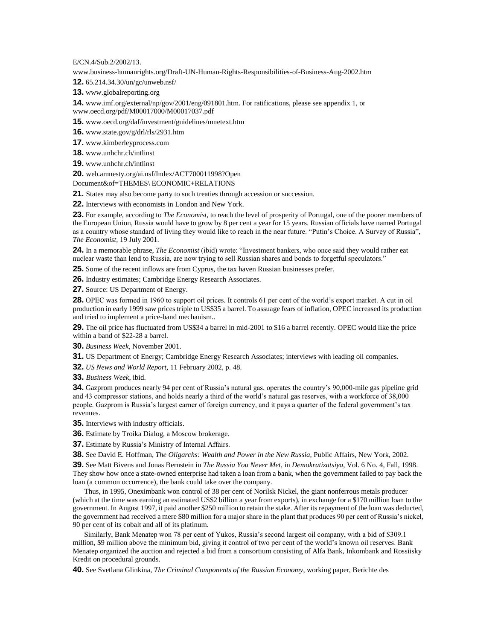E/CN.4/Sub.2/2002/13.

www.business-humanrights.org/Draft-UN-Human-Rights-Responsibilities-of-Business-Aug-2002.htm

**12.** 65.214.34.30/un/gc/unweb.nsf/

**13.** www.globalreporting.org

**14.** www.imf.org/external/np/gov/2001/eng/091801.htm. For ratifications, please see appendix 1, or

www.oecd.org/pdf/M00017000/M00017037.pdf

**15.** www.oecd.org/daf/investment/guidelines/mnetext.htm

**16.** www.state.gov/g/drl/rls/2931.htm

**17.** www.kimberleyprocess.com

**18.** www.unhchr.ch/intlinst

**19.** www.unhchr.ch/intlinst

**20.** web.amnesty.org/ai.nsf/Index/ACT700011998?Open

Document&of=THEMES\ ECONOMIC+RELATIONS

**21.** States may also become party to such treaties through accession or succession.

**22.** Interviews with economists in London and New York.

**23.** For example, according to *The Economist*, to reach the level of prosperity of Portugal, one of the poorer members of the European Union, Russia would have to grow by 8 per cent a year for 15 years. Russian officials have named Portugal as a country whose standard of living they would like to reach in the near future. "Putin's Choice. A Survey of Russia", *The Economist*, 19 July 2001.

**24.** In a memorable phrase, *The Economist* (ibid) wrote: "Investment bankers, who once said they would rather eat nuclear waste than lend to Russia, are now trying to sell Russian shares and bonds to forgetful speculators."

**25.** Some of the recent inflows are from Cyprus, the tax haven Russian businesses prefer.

**26.** Industry estimates; Cambridge Energy Research Associates.

**27.** Source: US Department of Energy.

**28.** OPEC was formed in 1960 to support oil prices. It controls 61 per cent of the world's export market. A cut in oil production in early 1999 saw prices triple to US\$35 a barrel. To assuage fears of inflation, OPEC increased its production and tried to implement a price-band mechanism..

**29.** The oil price has fluctuated from US\$34 a barrel in mid-2001 to \$16 a barrel recently. OPEC would like the price within a band of \$22-28 a barrel.

**30.** *Business Week*, November 2001.

**31.** US Department of Energy; Cambridge Energy Research Associates; interviews with leading oil companies.

**32.** *US News and World Report*, 11 February 2002, p. 48.

**33.** *Business Week*, ibid.

**34.** Gazprom produces nearly 94 per cent of Russia's natural gas, operates the country's 90,000-mile gas pipeline grid and 43 compressor stations, and holds nearly a third of the world's natural gas reserves, with a workforce of 38,000 people. Gazprom is Russia's largest earner of foreign currency, and it pays a quarter of the federal government's tax revenues.

**35.** Interviews with industry officials.

**36.** Estimate by Troika Dialog, a Moscow brokerage.

**37.** Estimate by Russia's Ministry of Internal Affairs.

**38.** See David E. Hoffman, *The Oligarchs: Wealth and Power in the New Russia*, Public Affairs, New York, 2002.

**39.** See Matt Bivens and Jonas Bernstein in *The Russia You Never Met*, in *Demokratizatsiya*, Vol. 6 No. 4, Fall, 1998. They show how once a state-owned enterprise had taken a loan from a bank, when the government failed to pay back the loan (a common occurrence), the bank could take over the company.

Thus, in 1995, Oneximbank won control of 38 per cent of Norilsk Nickel, the giant nonferrous metals producer (which at the time was earning an estimated US\$2 billion a year from exports), in exchange for a \$170 million loan to the government. In August 1997, it paid another \$250 million to retain the stake. After its repayment of the loan was deducted, the government had received a mere \$80 million for a major share in the plant that produces 90 per cent of Russia's nickel, 90 per cent of its cobalt and all of its platinum.

Similarly, Bank Menatep won 78 per cent of Yukos, Russia's second largest oil company, with a bid of \$309.1 million, \$9 million above the minimum bid, giving it control of two per cent of the world's known oil reserves. Bank Menatep organized the auction and rejected a bid from a consortium consisting of Alfa Bank, Inkombank and Rossiisky Kredit on procedural grounds.

**40.** See Svetlana Glinkina, *The Criminal Components of the Russian Economy*, working paper, Berichte des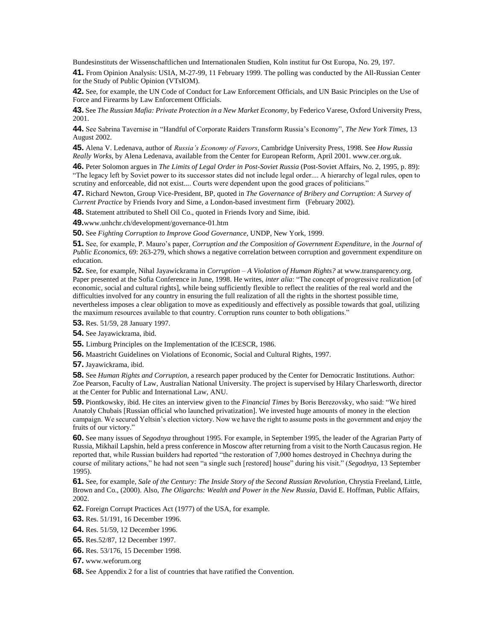Bundesinstituts der Wissenschaftlichen und Internationalen Studien, Koln institut fur Ost Europa, No. 29, 197.

**41.** From Opinion Analysis: USIA, M-27-99, 11 February 1999. The polling was conducted by the All-Russian Center for the Study of Public Opinion (VTsIOM).

**42.** See, for example, the UN Code of Conduct for Law Enforcement Officials, and UN Basic Principles on the Use of Force and Firearms by Law Enforcement Officials.

**43.** See *The Russian Mafia: Private Protection in a New Market Economy*, by Federico Varese, Oxford University Press, 2001.

**44.** See Sabrina Tavernise in "Handful of Corporate Raiders Transform Russia's Economy", *The New York Times*, 13 August 2002.

**45.** Alena V. Ledenava, author of *Russia's Economy of Favors*, Cambridge University Press, 1998. See *How Russia Really Works*, by Alena Ledenava, available from the Center for European Reform, April 2001. www.cer.org.uk.

**46.** Peter Solomon argues in *The Limits of Legal Order in Post-Soviet Russia* (Post-Soviet Affairs, No. 2, 1995, p. 89): "The legacy left by Soviet power to its successor states did not include legal order.... A hierarchy of legal rules, open to scrutiny and enforceable, did not exist.... Courts were dependent upon the good graces of politicians."

**47.** Richard Newton, Group Vice-President, BP, quoted in *The Governance of Bribery and Corruption: A Survey of Current Practice* by Friends Ivory and Sime, a London-based investment firm (February 2002).

**48.** Statement attributed to Shell Oil Co., quoted in Friends Ivory and Sime, ibid.

**49.**www.unhchr.ch/development/governance-01.htm

**50.** See *Fighting Corruption to Improve Good Governance*, UNDP, New York, 1999.

**51.** See, for example, P. Mauro's paper, *Corruption and the Composition of Government Expenditure*, in the *Journal of Public Economics*, 69: 263-279, which shows a negative correlation between corruption and government expenditure on education.

**52.** See, for example, Nihal Jayawickrama in *Corruption – A Violation of Human Rights?* at www.transparency.org. Paper presented at the Sofia Conference in June, 1998. He writes, *inter alia*: "The concept of progressive realization [of economic, social and cultural rights], while being sufficiently flexible to reflect the realities of the real world and the difficulties involved for any country in ensuring the full realization of all the rights in the shortest possible time, nevertheless imposes a clear obligation to move as expeditiously and effectively as possible towards that goal, utilizing the maximum resources available to that country. Corruption runs counter to both obligations."

**53.** Res. 51/59, 28 January 1997.

**54.** See Jayawickrama, ibid.

**55.** Limburg Principles on the Implementation of the ICESCR, 1986.

**56.** Maastricht Guidelines on Violations of Economic, Social and Cultural Rights, 1997.

**57.** Jayawickrama, ibid.

**58.** See *Human Rights and Corruption,* a research paper produced by the Center for Democratic Institutions. Author: Zoe Pearson, Faculty of Law, Australian National University. The project is supervised by Hilary Charlesworth, director at the Center for Public and International Law, ANU.

**59.** Piontkowsky, ibid. He cites an interview given to the *Financial Times* by Boris Berezovsky, who said: "We hired Anatoly Chubais [Russian official who launched privatization]. We invested huge amounts of money in the election campaign. We secured Yeltsin's election victory. Now we have the right to assume posts in the government and enjoy the fruits of our victory."

**60.** See many issues of *Segodnya* throughout 1995. For example, in September 1995, the leader of the Agrarian Party of Russia, Mikhail Lapshin, held a press conference in Moscow after returning from a visit to the North Caucasus region. He reported that, while Russian builders had reported "the restoration of 7,000 homes destroyed in Chechnya during the course of military actions," he had not seen "a single such [restored] house" during his visit." (*Segodnya*, 13 September 1995).

**61.** See, for example, *Sale of the Century: The Inside Story of the Second Russian Revolution*, Chrystia Freeland, Little, Brown and Co., (2000). Also, *The Oligarchs: Wealth and Power in the New Russia*, David E. Hoffman, Public Affairs, 2002.

**62.** Foreign Corrupt Practices Act (1977) of the USA, for example.

**63.** Res. 51/191, 16 December 1996.

**64.** Res. 51/59, 12 December 1996.

**65.** Res.52/87, 12 December 1997.

**66.** Res. 53/176, 15 December 1998.

**67.** www.weforum.org

**68.** See Appendix 2 for a list of countries that have ratified the Convention.